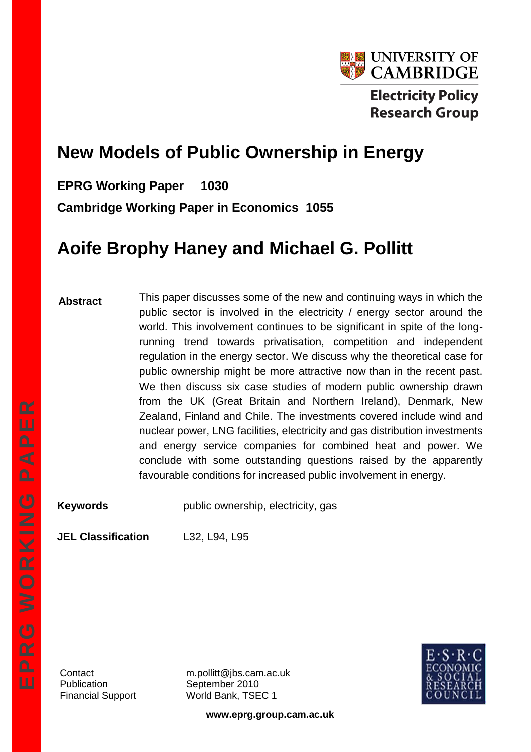

# **New Models of Public Ownership in Energy**

**EPRG Working Paper 1030**

**Cambridge Working Paper in Economics 1055**

# **Aoife Brophy Haney and Michael G. Pollitt**

**Abstract** This paper discusses some of the new and continuing ways in which the public sector is involved in the electricity / energy sector around the world. This involvement continues to be significant in spite of the longrunning trend towards privatisation, competition and independent regulation in the energy sector. We discuss why the theoretical case for public ownership might be more attractive now than in the recent past. We then discuss six case studies of modern public ownership drawn from the UK (Great Britain and Northern Ireland), Denmark, New Zealand, Finland and Chile. The investments covered include wind and nuclear power, LNG facilities, electricity and gas distribution investments and energy service companies for combined heat and power. We conclude with some outstanding questions raised by the apparently favourable conditions for increased public involvement in energy.

**Keywords Example 1** public ownership, electricity, gas

**JEL Classification** L32, L94, L95

Publication September 2010

Contact m.pollitt@jbs.cam.ac.uk Financial Support World Bank, TSEC 1



**www.eprg.group.cam.ac.uk**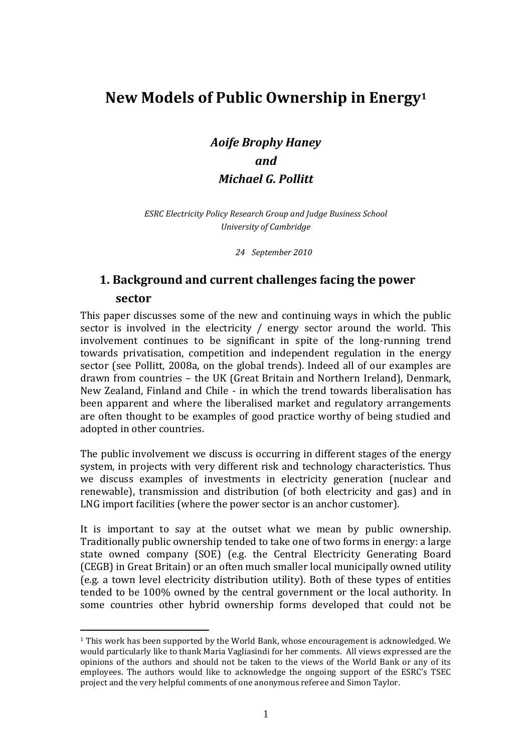## **New Models of Public Ownership in Energy<sup>1</sup>**

*Aoife Brophy Haney and Michael G. Pollitt*

*ESRC Electricity Policy Research Group and Judge Business School University of Cambridge*

*24 September 2010*

## **1. Background and current challenges facing the power sector**

This paper discusses some of the new and continuing ways in which the public sector is involved in the electricity / energy sector around the world. This involvement continues to be significant in spite of the long-running trend towards privatisation, competition and independent regulation in the energy sector (see Pollitt, 2008a, on the global trends). Indeed all of our examples are drawn from countries – the UK (Great Britain and Northern Ireland), Denmark, New Zealand, Finland and Chile - in which the trend towards liberalisation has been apparent and where the liberalised market and regulatory arrangements are often thought to be examples of good practice worthy of being studied and adopted in other countries.

The public involvement we discuss is occurring in different stages of the energy system, in projects with very different risk and technology characteristics. Thus we discuss examples of investments in electricity generation (nuclear and renewable), transmission and distribution (of both electricity and gas) and in LNG import facilities (where the power sector is an anchor customer).

It is important to say at the outset what we mean by public ownership. Traditionally public ownership tended to take one of two forms in energy: a large state owned company (SOE) (e.g. the Central Electricity Generating Board (CEGB) in Great Britain) or an often much smaller local municipally owned utility (e.g. a town level electricity distribution utility). Both of these types of entities tended to be 100% owned by the central government or the local authority. In some countries other hybrid ownership forms developed that could not be

<sup>1</sup> This work has been supported by the World Bank, whose encouragement is acknowledged. We would particularly like to thank Maria Vagliasindi for her comments. All views expressed are the opinions of the authors and should not be taken to the views of the World Bank or any of its employees. The authors would like to acknowledge the ongoing support of the ESRC's TSEC project and the very helpful comments of one anonymous referee and Simon Taylor.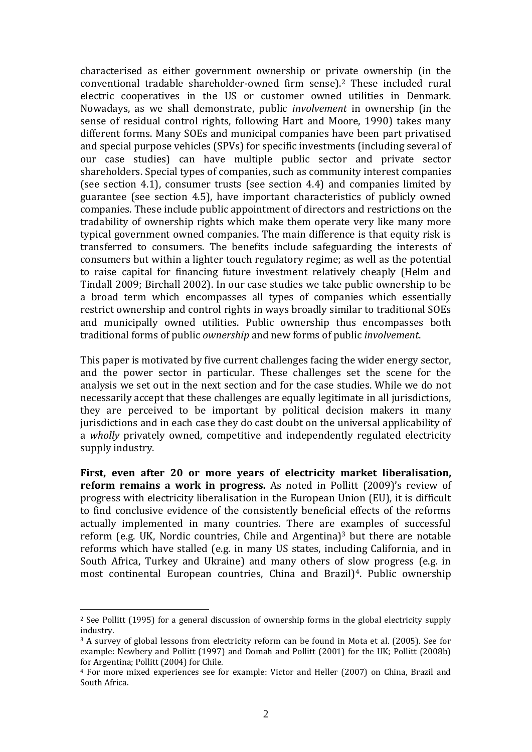characterised as either government ownership or private ownership (in the conventional tradable shareholder-owned firm sense).<sup>2</sup> These included rural electric cooperatives in the US or customer owned utilities in Denmark. Nowadays, as we shall demonstrate, public *involvement* in ownership (in the sense of residual control rights, following Hart and Moore, 1990) takes many different forms. Many SOEs and municipal companies have been part privatised and special purpose vehicles (SPVs) for specific investments (including several of our case studies) can have multiple public sector and private sector shareholders. Special types of companies, such as community interest companies (see section 4.1), consumer trusts (see section 4.4) and companies limited by guarantee (see section 4.5), have important characteristics of publicly owned companies. These include public appointment of directors and restrictions on the tradability of ownership rights which make them operate very like many more typical government owned companies. The main difference is that equity risk is transferred to consumers. The benefits include safeguarding the interests of consumers but within a lighter touch regulatory regime; as well as the potential to raise capital for financing future investment relatively cheaply (Helm and Tindall 2009; Birchall 2002). In our case studies we take public ownership to be a broad term which encompasses all types of companies which essentially restrict ownership and control rights in ways broadly similar to traditional SOEs and municipally owned utilities. Public ownership thus encompasses both traditional forms of public *ownership* and new forms of public *involvement*.

This paper is motivated by five current challenges facing the wider energy sector, and the power sector in particular. These challenges set the scene for the analysis we set out in the next section and for the case studies. While we do not necessarily accept that these challenges are equally legitimate in all jurisdictions, they are perceived to be important by political decision makers in many jurisdictions and in each case they do cast doubt on the universal applicability of a *wholly* privately owned, competitive and independently regulated electricity supply industry.

**First, even after 20 or more years of electricity market liberalisation, reform remains a work in progress.** As noted in Pollitt (2009)'s review of progress with electricity liberalisation in the European Union (EU), it is difficult to find conclusive evidence of the consistently beneficial effects of the reforms actually implemented in many countries. There are examples of successful reform (e.g. UK, Nordic countries, Chile and Argentina)<sup>3</sup> but there are notable reforms which have stalled (e.g. in many US states, including California, and in South Africa, Turkey and Ukraine) and many others of slow progress (e.g. in most continental European countries, China and Brazil)4. Public ownership

<sup>2</sup> See Pollitt (1995) for a general discussion of ownership forms in the global electricity supply industry.

<sup>3</sup> A survey of global lessons from electricity reform can be found in Mota et al. (2005). See for example: Newbery and Pollitt (1997) and Domah and Pollitt (2001) for the UK; Pollitt (2008b) for Argentina; Pollitt (2004) for Chile.

<sup>4</sup> For more mixed experiences see for example: Victor and Heller (2007) on China, Brazil and South Africa.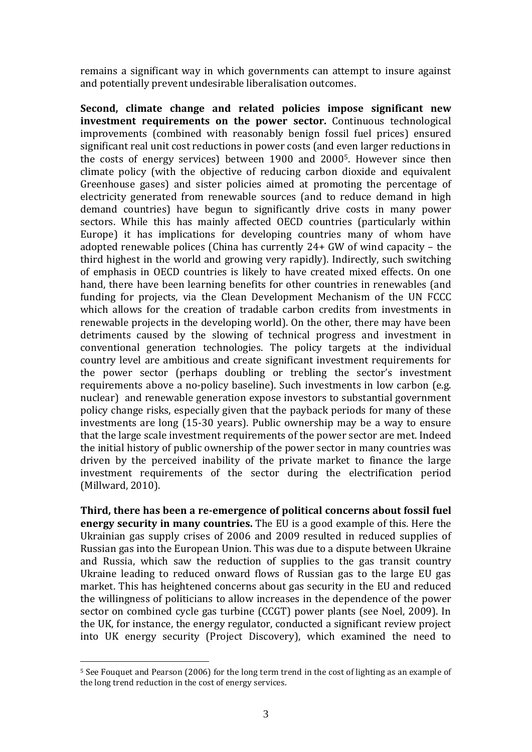remains a significant way in which governments can attempt to insure against and potentially prevent undesirable liberalisation outcomes.

**Second, climate change and related policies impose significant new investment requirements on the power sector.** Continuous technological improvements (combined with reasonably benign fossil fuel prices) ensured significant real unit cost reductions in power costs (and even larger reductions in the costs of energy services) between 1900 and 20005. However since then climate policy (with the objective of reducing carbon dioxide and equivalent Greenhouse gases) and sister policies aimed at promoting the percentage of electricity generated from renewable sources (and to reduce demand in high demand countries) have begun to significantly drive costs in many power sectors. While this has mainly affected OECD countries (particularly within Europe) it has implications for developing countries many of whom have adopted renewable polices (China has currently 24+ GW of wind capacity – the third highest in the world and growing very rapidly). Indirectly, such switching of emphasis in OECD countries is likely to have created mixed effects. On one hand, there have been learning benefits for other countries in renewables (and funding for projects, via the Clean Development Mechanism of the UN FCCC which allows for the creation of tradable carbon credits from investments in renewable projects in the developing world). On the other, there may have been detriments caused by the slowing of technical progress and investment in conventional generation technologies. The policy targets at the individual country level are ambitious and create significant investment requirements for the power sector (perhaps doubling or trebling the sector's investment requirements above a no-policy baseline). Such investments in low carbon (e.g. nuclear) and renewable generation expose investors to substantial government policy change risks, especially given that the payback periods for many of these investments are long (15-30 years). Public ownership may be a way to ensure that the large scale investment requirements of the power sector are met. Indeed the initial history of public ownership of the power sector in many countries was driven by the perceived inability of the private market to finance the large investment requirements of the sector during the electrification period (Millward, 2010).

**Third, there has been a re-emergence of political concerns about fossil fuel energy security in many countries.** The EU is a good example of this. Here the Ukrainian gas supply crises of 2006 and 2009 resulted in reduced supplies of Russian gas into the European Union. This was due to a dispute between Ukraine and Russia, which saw the reduction of supplies to the gas transit country Ukraine leading to reduced onward flows of Russian gas to the large EU gas market. This has heightened concerns about gas security in the EU and reduced the willingness of politicians to allow increases in the dependence of the power sector on combined cycle gas turbine (CCGT) power plants (see Noel, 2009). In the UK, for instance, the energy regulator, conducted a significant review project into UK energy security (Project Discovery), which examined the need to

<sup>5</sup> See Fouquet and Pearson (2006) for the long term trend in the cost of lighting as an example of the long trend reduction in the cost of energy services.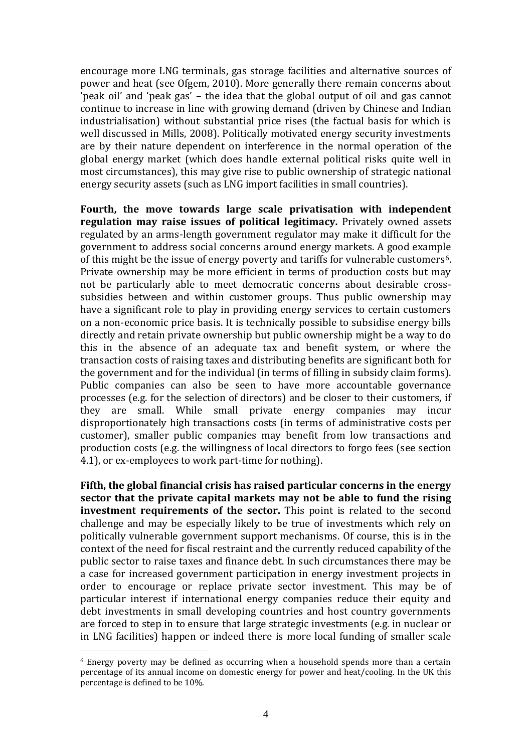encourage more LNG terminals, gas storage facilities and alternative sources of power and heat (see Ofgem, 2010). More generally there remain concerns about 'peak oil' and 'peak gas' – the idea that the global output of oil and gas cannot continue to increase in line with growing demand (driven by Chinese and Indian industrialisation) without substantial price rises (the factual basis for which is well discussed in Mills, 2008). Politically motivated energy security investments are by their nature dependent on interference in the normal operation of the global energy market (which does handle external political risks quite well in most circumstances), this may give rise to public ownership of strategic national energy security assets (such as LNG import facilities in small countries).

**Fourth, the move towards large scale privatisation with independent regulation may raise issues of political legitimacy.** Privately owned assets regulated by an arms-length government regulator may make it difficult for the government to address social concerns around energy markets. A good example of this might be the issue of energy poverty and tariffs for vulnerable customers<sup>6</sup>. Private ownership may be more efficient in terms of production costs but may not be particularly able to meet democratic concerns about desirable crosssubsidies between and within customer groups. Thus public ownership may have a significant role to play in providing energy services to certain customers on a non-economic price basis. It is technically possible to subsidise energy bills directly and retain private ownership but public ownership might be a way to do this in the absence of an adequate tax and benefit system, or where the transaction costs of raising taxes and distributing benefits are significant both for the government and for the individual (in terms of filling in subsidy claim forms). Public companies can also be seen to have more accountable governance processes (e.g. for the selection of directors) and be closer to their customers, if they are small. While small private energy companies may incur disproportionately high transactions costs (in terms of administrative costs per customer), smaller public companies may benefit from low transactions and production costs (e.g. the willingness of local directors to forgo fees (see section 4.1), or ex-employees to work part-time for nothing).

**Fifth, the global financial crisis has raised particular concerns in the energy sector that the private capital markets may not be able to fund the rising investment requirements of the sector.** This point is related to the second challenge and may be especially likely to be true of investments which rely on politically vulnerable government support mechanisms. Of course, this is in the context of the need for fiscal restraint and the currently reduced capability of the public sector to raise taxes and finance debt. In such circumstances there may be a case for increased government participation in energy investment projects in order to encourage or replace private sector investment. This may be of particular interest if international energy companies reduce their equity and debt investments in small developing countries and host country governments are forced to step in to ensure that large strategic investments (e.g. in nuclear or in LNG facilities) happen or indeed there is more local funding of smaller scale

 $6$  Energy poverty may be defined as occurring when a household spends more than a certain percentage of its annual income on domestic energy for power and heat/cooling. In the UK this percentage is defined to be 10%.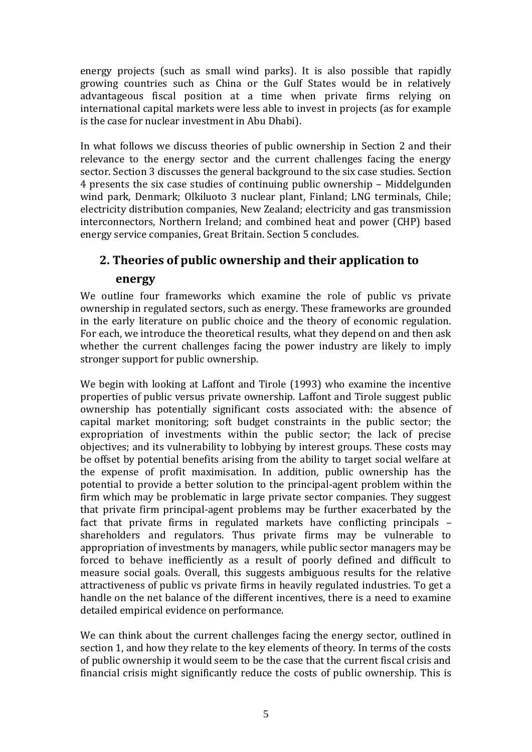energy projects (such as small wind parks). It is also possible that rapidly growing countries such as China or the Gulf States would be in relatively advantageous fiscal position at a time when private firms relying on international capital markets were less able to invest in projects (as for example is the case for nuclear investment in Abu Dhabi).

In what follows we discuss theories of public ownership in Section 2 and their relevance to the energy sector and the current challenges facing the energy sector. Section 3 discusses the general background to the six case studies. Section 4 presents the six case studies of continuing public ownership – Middelgunden wind park, Denmark; Olkiluoto 3 nuclear plant, Finland; LNG terminals, Chile; electricity distribution companies, New Zealand; electricity and gas transmission interconnectors, Northern Ireland; and combined heat and power (CHP) based energy service companies, Great Britain. Section 5 concludes.

## **2. Theories of public ownership and their application to**

### **energy**

We outline four frameworks which examine the role of public vs private ownership in regulated sectors, such as energy. These frameworks are grounded in the early literature on public choice and the theory of economic regulation. For each, we introduce the theoretical results, what they depend on and then ask whether the current challenges facing the power industry are likely to imply stronger support for public ownership.

We begin with looking at Laffont and Tirole (1993) who examine the incentive properties of public versus private ownership. Laffont and Tirole suggest public ownership has potentially significant costs associated with: the absence of capital market monitoring; soft budget constraints in the public sector; the expropriation of investments within the public sector; the lack of precise objectives; and its vulnerability to lobbying by interest groups. These costs may be offset by potential benefits arising from the ability to target social welfare at the expense of profit maximisation. In addition, public ownership has the potential to provide a better solution to the principal-agent problem within the firm which may be problematic in large private sector companies. They suggest that private firm principal-agent problems may be further exacerbated by the fact that private firms in regulated markets have conflicting principals – shareholders and regulators. Thus private firms may be vulnerable to appropriation of investments by managers, while public sector managers may be forced to behave inefficiently as a result of poorly defined and difficult to measure social goals. Overall, this suggests ambiguous results for the relative attractiveness of public vs private firms in heavily regulated industries. To get a handle on the net balance of the different incentives, there is a need to examine detailed empirical evidence on performance.

We can think about the current challenges facing the energy sector, outlined in section 1, and how they relate to the key elements of theory. In terms of the costs of public ownership it would seem to be the case that the current fiscal crisis and financial crisis might significantly reduce the costs of public ownership. This is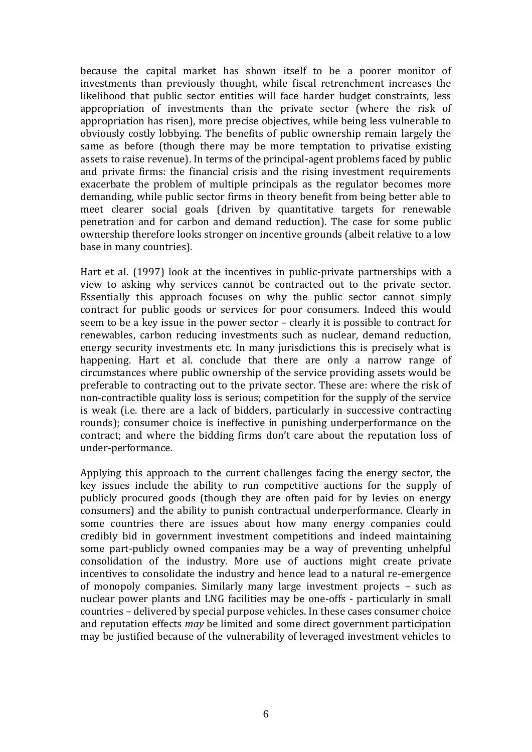because the capital market has shown itself to be a poorer monitor of investments than previously thought, while fiscal retrenchment increases the likelihood that public sector entities will face harder budget constraints, less appropriation of investments than the private sector (where the risk of appropriation has risen), more precise objectives, while being less vulnerable to obviously costly lobbying. The benefits of public ownership remain largely the same as before (though there may be more temptation to privatise existing assets to raise revenue). In terms of the principal-agent problems faced by public and private firms: the financial crisis and the rising investment requirements exacerbate the problem of multiple principals as the regulator becomes more demanding, while public sector firms in theory benefit from being better able to meet clearer social goals (driven by quantitative targets for renewable penetration and for carbon and demand reduction). The case for some public ownership therefore looks stronger on incentive grounds (albeit relative to a low base in many countries).

Hart et al. (1997) look at the incentives in public-private partnerships with a view to asking why services cannot be contracted out to the private sector. Essentially this approach focuses on why the public sector cannot simply contract for public goods or services for poor consumers. Indeed this would seem to be a key issue in the power sector – clearly it is possible to contract for renewables, carbon reducing investments such as nuclear, demand reduction, energy security investments etc. In many jurisdictions this is precisely what is happening. Hart et al. conclude that there are only a narrow range of circumstances where public ownership of the service providing assets would be preferable to contracting out to the private sector. These are: where the risk of non-contractible quality loss is serious; competition for the supply of the service is weak (i.e. there are a lack of bidders, particularly in successive contracting rounds); consumer choice is ineffective in punishing underperformance on the contract; and where the bidding firms don't care about the reputation loss of under-performance.

Applying this approach to the current challenges facing the energy sector, the key issues include the ability to run competitive auctions for the supply of publicly procured goods (though they are often paid for by levies on energy consumers) and the ability to punish contractual underperformance. Clearly in some countries there are issues about how many energy companies could credibly bid in government investment competitions and indeed maintaining some part-publicly owned companies may be a way of preventing unhelpful consolidation of the industry. More use of auctions might create private incentives to consolidate the industry and hence lead to a natural re-emergence of monopoly companies. Similarly many large investment projects – such as nuclear power plants and LNG facilities may be one-offs - particularly in small countries – delivered by special purpose vehicles. In these cases consumer choice and reputation effects *may* be limited and some direct government participation may be justified because of the vulnerability of leveraged investment vehicles to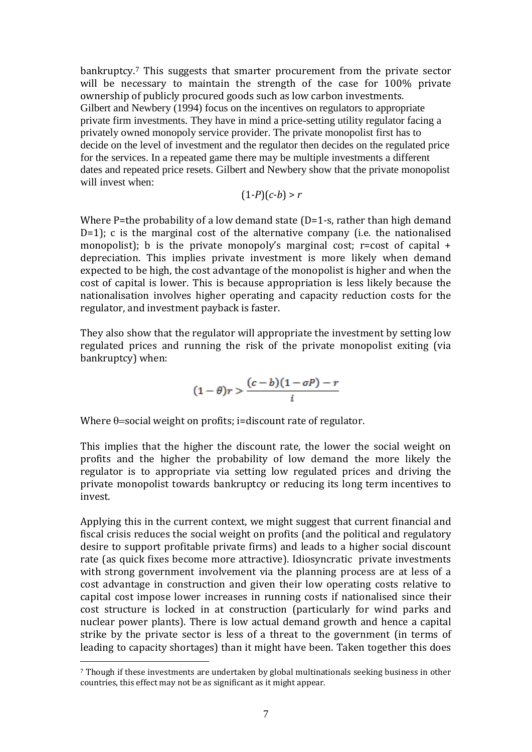bankruptcy.<sup>7</sup> This suggests that smarter procurement from the private sector will be necessary to maintain the strength of the case for 100% private ownership of publicly procured goods such as low carbon investments. Gilbert and Newbery (1994) focus on the incentives on regulators to appropriate private firm investments. They have in mind a price-setting utility regulator facing a privately owned monopoly service provider. The private monopolist first has to decide on the level of investment and the regulator then decides on the regulated price for the services. In a repeated game there may be multiple investments a different dates and repeated price resets. Gilbert and Newbery show that the private monopolist will invest when:

 $(1-P)(c-b) > r$ 

Where P=the probability of a low demand state (D=1-s, rather than high demand D=1); c is the marginal cost of the alternative company (i.e. the nationalised monopolist); b is the private monopoly's marginal cost; r=cost of capital  $+$ depreciation. This implies private investment is more likely when demand expected to be high, the cost advantage of the monopolist is higher and when the cost of capital is lower. This is because appropriation is less likely because the nationalisation involves higher operating and capacity reduction costs for the regulator, and investment payback is faster.

They also show that the regulator will appropriate the investment by setting low regulated prices and running the risk of the private monopolist exiting (via bankruptcy) when:

$$
(1-\theta)r > \frac{(c-b)(1-\sigma P)-r}{i}
$$

Where  $\theta$ =social weight on profits; i=discount rate of regulator.

This implies that the higher the discount rate, the lower the social weight on profits and the higher the probability of low demand the more likely the regulator is to appropriate via setting low regulated prices and driving the private monopolist towards bankruptcy or reducing its long term incentives to invest.

Applying this in the current context, we might suggest that current financial and fiscal crisis reduces the social weight on profits (and the political and regulatory desire to support profitable private firms) and leads to a higher social discount rate (as quick fixes become more attractive). Idiosyncratic private investments with strong government involvement via the planning process are at less of a cost advantage in construction and given their low operating costs relative to capital cost impose lower increases in running costs if nationalised since their cost structure is locked in at construction (particularly for wind parks and nuclear power plants). There is low actual demand growth and hence a capital strike by the private sector is less of a threat to the government (in terms of leading to capacity shortages) than it might have been. Taken together this does

<sup>7</sup> Though if these investments are undertaken by global multinationals seeking business in other countries, this effect may not be as significant as it might appear.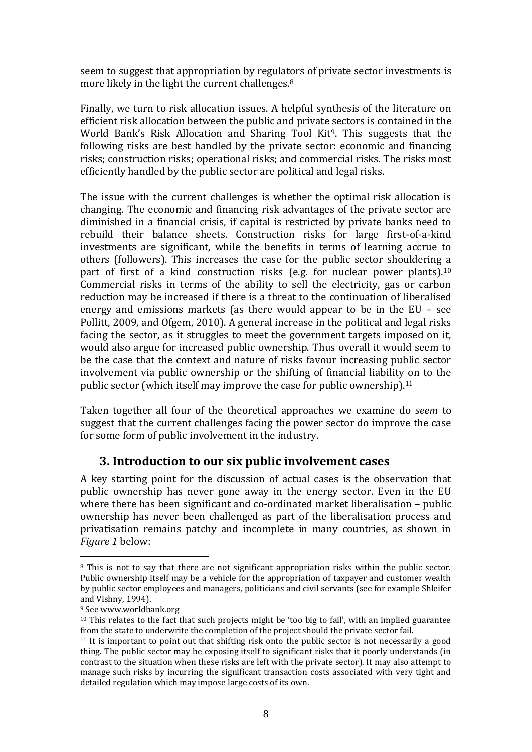seem to suggest that appropriation by regulators of private sector investments is more likely in the light the current challenges.<sup>8</sup>

Finally, we turn to risk allocation issues. A helpful synthesis of the literature on efficient risk allocation between the public and private sectors is contained in the World Bank's Risk Allocation and Sharing Tool Kit<sup>9</sup>. This suggests that the following risks are best handled by the private sector: economic and financing risks; construction risks; operational risks; and commercial risks. The risks most efficiently handled by the public sector are political and legal risks.

The issue with the current challenges is whether the optimal risk allocation is changing. The economic and financing risk advantages of the private sector are diminished in a financial crisis, if capital is restricted by private banks need to rebuild their balance sheets. Construction risks for large first-of-a-kind investments are significant, while the benefits in terms of learning accrue to others (followers). This increases the case for the public sector shouldering a part of first of a kind construction risks (e.g. for nuclear power plants).<sup>10</sup> Commercial risks in terms of the ability to sell the electricity, gas or carbon reduction may be increased if there is a threat to the continuation of liberalised energy and emissions markets (as there would appear to be in the EU – see Pollitt, 2009, and Ofgem, 2010). A general increase in the political and legal risks facing the sector, as it struggles to meet the government targets imposed on it, would also argue for increased public ownership. Thus overall it would seem to be the case that the context and nature of risks favour increasing public sector involvement via public ownership or the shifting of financial liability on to the public sector (which itself may improve the case for public ownership).<sup>11</sup>

Taken together all four of the theoretical approaches we examine do *seem* to suggest that the current challenges facing the power sector do improve the case for some form of public involvement in the industry.

## **3. Introduction to our six public involvement cases**

A key starting point for the discussion of actual cases is the observation that public ownership has never gone away in the energy sector. Even in the EU where there has been significant and co-ordinated market liberalisation – public ownership has never been challenged as part of the liberalisation process and privatisation remains patchy and incomplete in many countries, as shown in *Figure 1* below:

<sup>&</sup>lt;sup>8</sup> This is not to say that there are not significant appropriation risks within the public sector. Public ownership itself may be a vehicle for the appropriation of taxpayer and customer wealth by public sector employees and managers, politicians and civil servants (see for example Shleifer and Vishny, 1994).

<sup>9</sup> See www.worldbank.org

 $10$  This relates to the fact that such projects might be 'too big to fail', with an implied guarantee from the state to underwrite the completion of the project should the private sector fail.

 $11$  It is important to point out that shifting risk onto the public sector is not necessarily a good thing. The public sector may be exposing itself to significant risks that it poorly understands (in contrast to the situation when these risks are left with the private sector). It may also attempt to manage such risks by incurring the significant transaction costs associated with very tight and detailed regulation which may impose large costs of its own.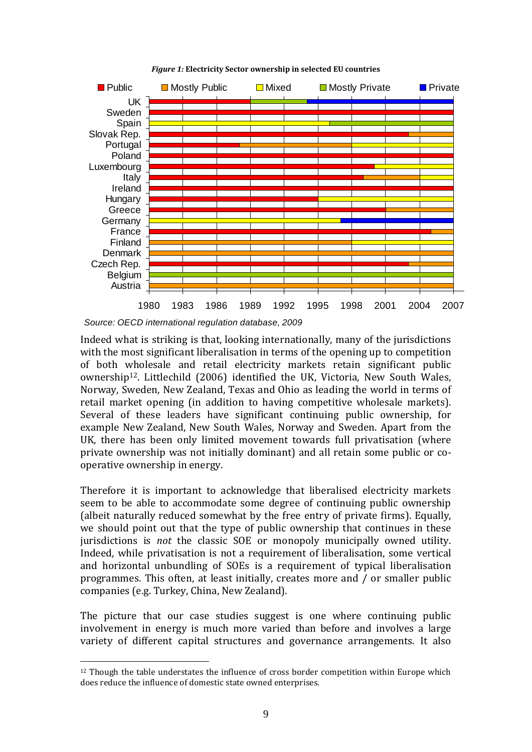

*Figure 1:* **Electricity Sector ownership in selected EU countries**

*Source: OECD international regulation database, 2009*

1

Indeed what is striking is that, looking internationally, many of the jurisdictions with the most significant liberalisation in terms of the opening up to competition of both wholesale and retail electricity markets retain significant public ownership12. Littlechild (2006) identified the UK, Victoria, New South Wales, Norway, Sweden, New Zealand, Texas and Ohio as leading the world in terms of retail market opening (in addition to having competitive wholesale markets). Several of these leaders have significant continuing public ownership, for example New Zealand, New South Wales, Norway and Sweden. Apart from the UK, there has been only limited movement towards full privatisation (where private ownership was not initially dominant) and all retain some public or cooperative ownership in energy.

Therefore it is important to acknowledge that liberalised electricity markets seem to be able to accommodate some degree of continuing public ownership (albeit naturally reduced somewhat by the free entry of private firms). Equally, we should point out that the type of public ownership that continues in these jurisdictions is *not* the classic SOE or monopoly municipally owned utility. Indeed, while privatisation is not a requirement of liberalisation, some vertical and horizontal unbundling of SOEs is a requirement of typical liberalisation programmes. This often, at least initially, creates more and / or smaller public companies (e.g. Turkey, China, New Zealand).

The picture that our case studies suggest is one where continuing public involvement in energy is much more varied than before and involves a large variety of different capital structures and governance arrangements. It also

 $12$  Though the table understates the influence of cross border competition within Europe which does reduce the influence of domestic state owned enterprises.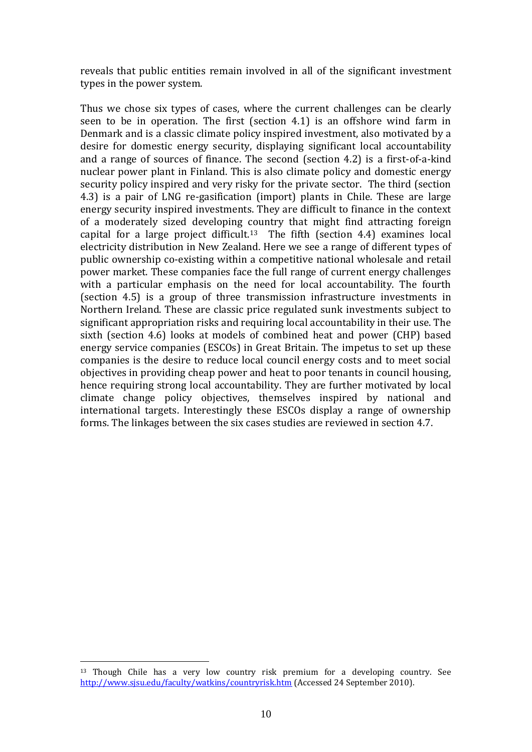reveals that public entities remain involved in all of the significant investment types in the power system.

Thus we chose six types of cases, where the current challenges can be clearly seen to be in operation. The first (section 4.1) is an offshore wind farm in Denmark and is a classic climate policy inspired investment, also motivated by a desire for domestic energy security, displaying significant local accountability and a range of sources of finance. The second (section 4.2) is a first-of-a-kind nuclear power plant in Finland. This is also climate policy and domestic energy security policy inspired and very risky for the private sector. The third (section 4.3) is a pair of LNG re-gasification (import) plants in Chile. These are large energy security inspired investments. They are difficult to finance in the context of a moderately sized developing country that might find attracting foreign capital for a large project difficult.<sup>13</sup> The fifth (section 4.4) examines local electricity distribution in New Zealand. Here we see a range of different types of public ownership co-existing within a competitive national wholesale and retail power market. These companies face the full range of current energy challenges with a particular emphasis on the need for local accountability. The fourth (section 4.5) is a group of three transmission infrastructure investments in Northern Ireland. These are classic price regulated sunk investments subject to significant appropriation risks and requiring local accountability in their use. The sixth (section 4.6) looks at models of combined heat and power (CHP) based energy service companies (ESCOs) in Great Britain. The impetus to set up these companies is the desire to reduce local council energy costs and to meet social objectives in providing cheap power and heat to poor tenants in council housing, hence requiring strong local accountability. They are further motivated by local climate change policy objectives, themselves inspired by national and international targets. Interestingly these ESCOs display a range of ownership forms. The linkages between the six cases studies are reviewed in section 4.7.

<sup>&</sup>lt;sup>13</sup> Though Chile has a very low country risk premium for a developing country. See <http://www.sjsu.edu/faculty/watkins/countryrisk.htm> (Accessed 24 September 2010).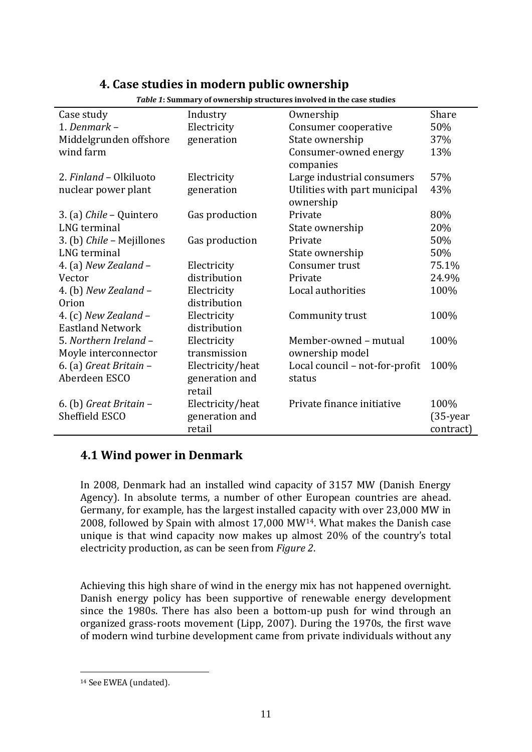## **4. Case studies in modern public ownership**

| Case study                | Industry         | Ownership                      | Share       |
|---------------------------|------------------|--------------------------------|-------------|
| 1. Denmark -              | Electricity      | Consumer cooperative           | 50%         |
| Middelgrunden offshore    | generation       | State ownership                | 37%         |
| wind farm                 |                  | Consumer-owned energy          | 13%         |
|                           |                  | companies                      |             |
| 2. Finland - Olkiluoto    | Electricity      | Large industrial consumers     | 57%         |
| nuclear power plant       | generation       | Utilities with part municipal  | 43%         |
|                           |                  | ownership                      |             |
| 3. (a) Chile – Quintero   | Gas production   | Private                        | 80%         |
| LNG terminal              |                  | State ownership                | 20%         |
| 3. (b) Chile - Mejillones | Gas production   | Private                        | 50%         |
| LNG terminal              |                  | State ownership                | 50%         |
| 4. (a) New Zealand $-$    | Electricity      | Consumer trust                 | 75.1%       |
| Vector                    | distribution     | Private                        | 24.9%       |
| 4. (b) New Zealand -      | Electricity      | Local authorities              | 100%        |
| Orion                     | distribution     |                                |             |
| 4. (c) New Zealand $-$    | Electricity      | Community trust                | 100%        |
| <b>Eastland Network</b>   | distribution     |                                |             |
| 5. Northern Ireland -     | Electricity      | Member-owned - mutual          | 100%        |
| Moyle interconnector      | transmission     | ownership model                |             |
| 6. (a) Great Britain -    | Electricity/heat | Local council - not-for-profit | 100%        |
| Aberdeen ESCO             | generation and   | status                         |             |
|                           | retail           |                                |             |
| 6. (b) Great Britain -    | Electricity/heat | Private finance initiative     | 100%        |
| Sheffield ESCO            | generation and   |                                | $(35$ -year |
|                           | retail           |                                | contract)   |

*Table 1***: Summary of ownership structures involved in the case studies**

## **4.1 Wind power in Denmark**

In 2008, Denmark had an installed wind capacity of 3157 MW (Danish Energy Agency). In absolute terms, a number of other European countries are ahead. Germany, for example, has the largest installed capacity with over 23,000 MW in 2008, followed by Spain with almost 17,000 MW14. What makes the Danish case unique is that wind capacity now makes up almost 20% of the country's total electricity production, as can be seen from *Figure 2*.

Achieving this high share of wind in the energy mix has not happened overnight. Danish energy policy has been supportive of renewable energy development since the 1980s. There has also been a bottom-up push for wind through an organized grass-roots movement (Lipp, 2007). During the 1970s, the first wave of modern wind turbine development came from private individuals without any

<u>.</u>

<sup>14</sup> See EWEA (undated).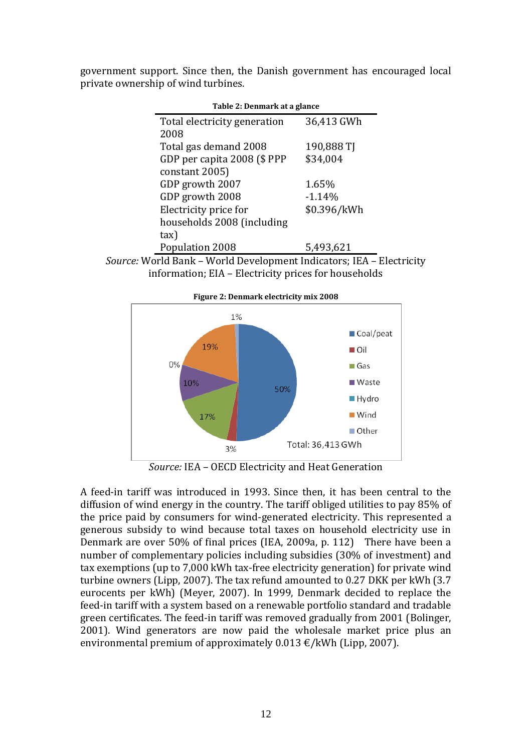government support. Since then, the Danish government has encouraged local private ownership of wind turbines.

| Table 2: Denmark at a glance |             |  |  |
|------------------------------|-------------|--|--|
| Total electricity generation | 36,413 GWh  |  |  |
| 2008                         |             |  |  |
| Total gas demand 2008        | 190,888 TJ  |  |  |
| GDP per capita 2008 (\$ PPP  | \$34,004    |  |  |
| constant 2005)               |             |  |  |
| GDP growth 2007              | 1.65%       |  |  |
| GDP growth 2008              | $-1.14%$    |  |  |
| Electricity price for        | \$0.396/kWh |  |  |
| households 2008 (including   |             |  |  |
| tax)                         |             |  |  |
| Population 2008              | 5,493,621   |  |  |
|                              |             |  |  |





*Source:* IEA – OECD Electricity and Heat Generation

A feed-in tariff was introduced in 1993. Since then, it has been central to the diffusion of wind energy in the country. The tariff obliged utilities to pay 85% of the price paid by consumers for wind-generated electricity. This represented a generous subsidy to wind because total taxes on household electricity use in Denmark are over 50% of final prices (IEA, 2009a, p. 112) There have been a number of complementary policies including subsidies (30% of investment) and tax exemptions (up to 7,000 kWh tax-free electricity generation) for private wind turbine owners (Lipp, 2007). The tax refund amounted to 0.27 DKK per kWh (3.7 eurocents per kWh) (Meyer, 2007). In 1999, Denmark decided to replace the feed-in tariff with a system based on a renewable portfolio standard and tradable green certificates. The feed-in tariff was removed gradually from 2001 (Bolinger, 2001). Wind generators are now paid the wholesale market price plus an environmental premium of approximately  $0.013 \text{ E/kWh}$  (Lipp, 2007).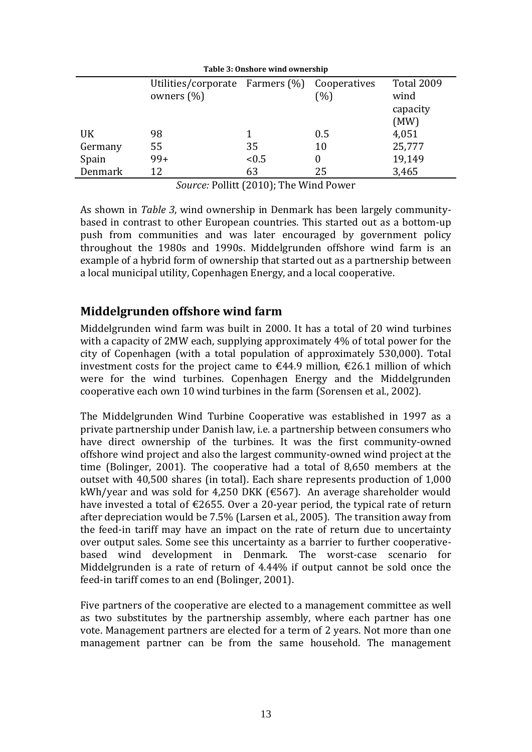| Table 3: Onshore wind ownership |                                    |       |              |                   |
|---------------------------------|------------------------------------|-------|--------------|-------------------|
|                                 | Utilities/corporate Farmers $(\%)$ |       | Cooperatives | <b>Total 2009</b> |
|                                 | owners $(\%)$                      |       | (%)          | wind              |
|                                 |                                    |       |              | capacity          |
|                                 |                                    |       |              | (MW)              |
| UK                              | 98                                 |       | 0.5          | 4,051             |
| Germany                         | 55                                 | 35    | 10           | 25,777            |
| Spain                           | $99+$                              | < 0.5 | 0            | 19,149            |
| Denmark                         | 12                                 | 63    | 25           | 3,465             |

*Source:* Pollitt (2010); The Wind Power

As shown in *Table 3*, wind ownership in Denmark has been largely communitybased in contrast to other European countries. This started out as a bottom-up push from communities and was later encouraged by government policy throughout the 1980s and 1990s. Middelgrunden offshore wind farm is an example of a hybrid form of ownership that started out as a partnership between a local municipal utility, Copenhagen Energy, and a local cooperative.

## **Middelgrunden offshore wind farm**

Middelgrunden wind farm was built in 2000. It has a total of 20 wind turbines with a capacity of 2MW each, supplying approximately 4% of total power for the city of Copenhagen (with a total population of approximately 530,000). Total investment costs for the project came to €44.9 million, €26.1 million of which were for the wind turbines. Copenhagen Energy and the Middelgrunden cooperative each own 10 wind turbines in the farm (Sorensen et al., 2002).

The Middelgrunden Wind Turbine Cooperative was established in 1997 as a private partnership under Danish law, i.e. a partnership between consumers who have direct ownership of the turbines. It was the first community-owned offshore wind project and also the largest community-owned wind project at the time (Bolinger, 2001). The cooperative had a total of 8,650 members at the outset with 40,500 shares (in total). Each share represents production of 1,000 kWh/year and was sold for 4,250 DKK (€567). An average shareholder would have invested a total of €2655. Over a 20-year period, the typical rate of return after depreciation would be 7.5% (Larsen et al., 2005). The transition away from the feed-in tariff may have an impact on the rate of return due to uncertainty over output sales. Some see this uncertainty as a barrier to further cooperativebased wind development in Denmark. The worst-case scenario for Middelgrunden is a rate of return of 4.44% if output cannot be sold once the feed-in tariff comes to an end (Bolinger, 2001).

Five partners of the cooperative are elected to a management committee as well as two substitutes by the partnership assembly, where each partner has one vote. Management partners are elected for a term of 2 years. Not more than one management partner can be from the same household. The management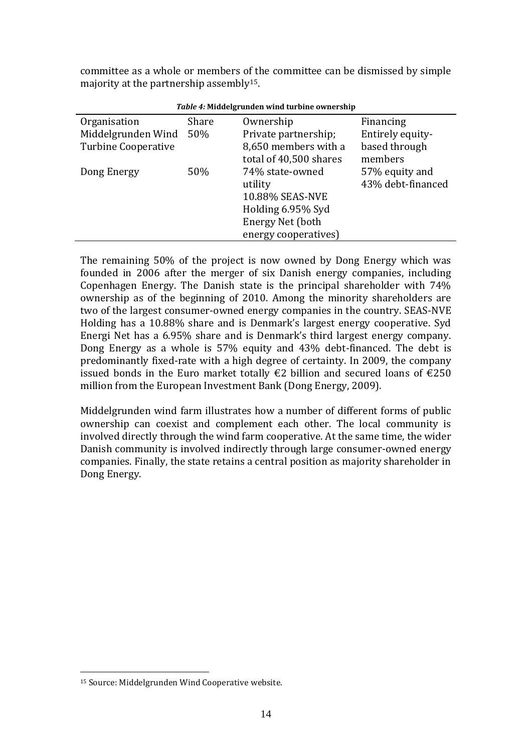committee as a whole or members of the committee can be dismissed by simple majority at the partnership assembly15.

| <i>Table 4:</i> Middelgrunden wind turbine ownership |       |                        |                   |  |  |
|------------------------------------------------------|-------|------------------------|-------------------|--|--|
| Organisation                                         | Share | Ownership              | Financing         |  |  |
| Middelgrunden Wind                                   | 50%   | Private partnership;   | Entirely equity-  |  |  |
| <b>Turbine Cooperative</b>                           |       | 8,650 members with a   | based through     |  |  |
|                                                      |       | total of 40,500 shares | members           |  |  |
| Dong Energy                                          | 50%   | 74% state-owned        | 57% equity and    |  |  |
|                                                      |       | utility                | 43% debt-financed |  |  |
|                                                      |       | 10.88% SEAS-NVE        |                   |  |  |
|                                                      |       | Holding 6.95% Syd      |                   |  |  |
|                                                      |       | Energy Net (both       |                   |  |  |
|                                                      |       | energy cooperatives)   |                   |  |  |

*Table 4:* **Middelgrunden wind turbine ownership**

The remaining 50% of the project is now owned by Dong Energy which was founded in 2006 after the merger of six Danish energy companies, including Copenhagen Energy. The Danish state is the principal shareholder with 74% ownership as of the beginning of 2010. Among the minority shareholders are two of the largest consumer-owned energy companies in the country. SEAS-NVE Holding has a 10.88% share and is Denmark's largest energy cooperative. Syd Energi Net has a 6.95% share and is Denmark's third largest energy company. Dong Energy as a whole is 57% equity and 43% debt-financed. The debt is predominantly fixed-rate with a high degree of certainty. In 2009, the company issued bonds in the Euro market totally €2 billion and secured loans of €250 million from the European Investment Bank (Dong Energy, 2009).

Middelgrunden wind farm illustrates how a number of different forms of public ownership can coexist and complement each other. The local community is involved directly through the wind farm cooperative. At the same time, the wider Danish community is involved indirectly through large consumer-owned energy companies. Finally, the state retains a central position as majority shareholder in Dong Energy.

<u>.</u>

<sup>15</sup> Source: Middelgrunden Wind Cooperative website.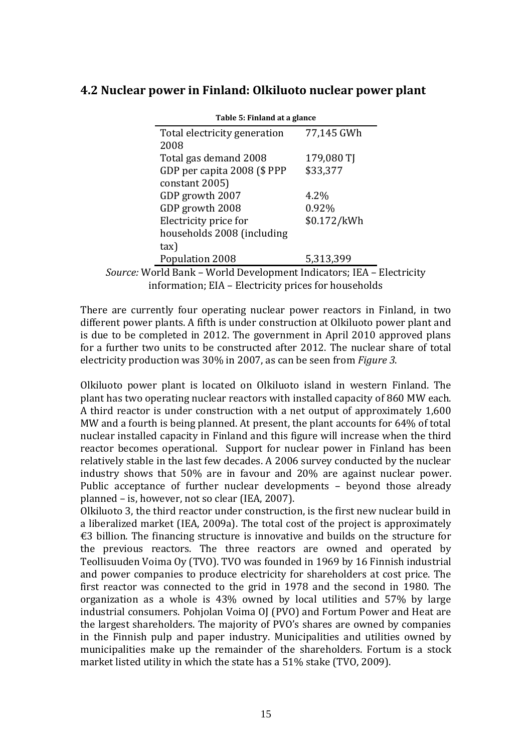## **4.2 Nuclear power in Finland: Olkiluoto nuclear power plant**

| Total electricity generation | 77,145 GWh  |
|------------------------------|-------------|
| 2008                         |             |
| Total gas demand 2008        | 179,080 TJ  |
| GDP per capita 2008 (\$ PPP  | \$33,377    |
| constant 2005)               |             |
| GDP growth 2007              | 4.2%        |
| GDP growth 2008              | 0.92%       |
| Electricity price for        | \$0.172/kWh |
| households 2008 (including   |             |
| tax)                         |             |
| Population 2008              | 5,313,399   |

#### **Table 5: Finland at a glance 5:**

*Source:* World Bank – World Development Indicators; IEA – Electricity information; EIA – Electricity prices for households

There are currently four operating nuclear power reactors in Finland, in two different power plants. A fifth is under construction at Olkiluoto power plant and is due to be completed in 2012. The government in April 2010 approved plans for a further two units to be constructed after 2012. The nuclear share of total electricity production was 30% in 2007, as can be seen from *Figure 3*.

Olkiluoto power plant is located on Olkiluoto island in western Finland. The plant has two operating nuclear reactors with installed capacity of 860 MW each. A third reactor is under construction with a net output of approximately 1,600 MW and a fourth is being planned. At present, the plant accounts for 64% of total nuclear installed capacity in Finland and this figure will increase when the third reactor becomes operational. Support for nuclear power in Finland has been relatively stable in the last few decades. A 2006 survey conducted by the nuclear industry shows that 50% are in favour and 20% are against nuclear power. Public acceptance of further nuclear developments – beyond those already planned – is, however, not so clear (IEA, 2007).

Olkiluoto 3, the third reactor under construction, is the first new nuclear build in a liberalized market (IEA, 2009a). The total cost of the project is approximately €3 billion. The financing structure is innovative and builds on the structure for the previous reactors. The three reactors are owned and operated by Teollisuuden Voima Oy (TVO). TVO was founded in 1969 by 16 Finnish industrial and power companies to produce electricity for shareholders at cost price. The first reactor was connected to the grid in 1978 and the second in 1980. The organization as a whole is 43% owned by local utilities and 57% by large industrial consumers. Pohjolan Voima OJ (PVO) and Fortum Power and Heat are the largest shareholders. The majority of PVO's shares are owned by companies in the Finnish pulp and paper industry. Municipalities and utilities owned by municipalities make up the remainder of the shareholders. Fortum is a stock market listed utility in which the state has a 51% stake (TVO, 2009).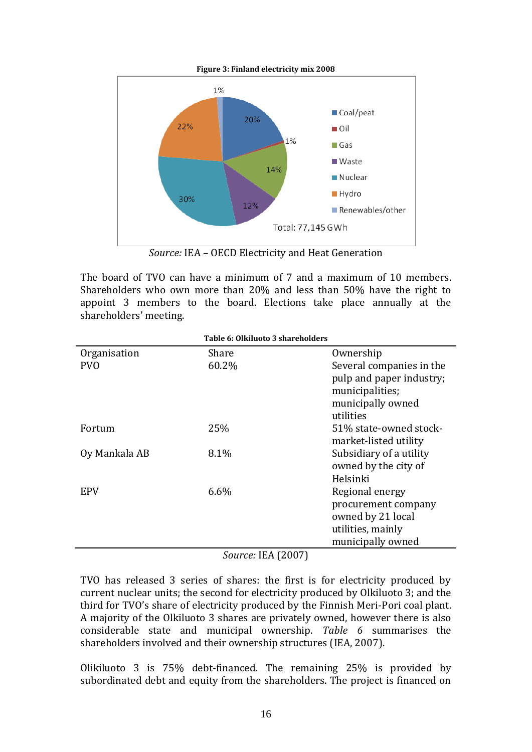

*Source:* IEA – OECD Electricity and Heat Generation

The board of TVO can have a minimum of 7 and a maximum of 10 members. Shareholders who own more than 20% and less than 50% have the right to appoint 3 members to the board. Elections take place annually at the shareholders' meeting.

| Table 6: Olkiluoto 3 shareholders |       |                                                                                                           |  |  |
|-----------------------------------|-------|-----------------------------------------------------------------------------------------------------------|--|--|
| Organisation                      | Share | Ownership                                                                                                 |  |  |
| <b>PVO</b>                        | 60.2% | Several companies in the<br>pulp and paper industry;<br>municipalities;<br>municipally owned<br>utilities |  |  |
| Fortum                            | 25%   | 51% state-owned stock-<br>market-listed utility                                                           |  |  |
| Oy Mankala AB                     | 8.1%  | Subsidiary of a utility<br>owned by the city of<br>Helsinki                                               |  |  |
| <b>EPV</b>                        | 6.6%  | Regional energy<br>procurement company<br>owned by 21 local<br>utilities, mainly<br>municipally owned     |  |  |

*Source:* IEA (2007)

TVO has released 3 series of shares: the first is for electricity produced by current nuclear units; the second for electricity produced by Olkiluoto 3; and the third for TVO's share of electricity produced by the Finnish Meri-Pori coal plant. A majority of the Olkiluoto 3 shares are privately owned, however there is also considerable state and municipal ownership. *Table 6* summarises the shareholders involved and their ownership structures (IEA, 2007).

Olikiluoto 3 is 75% debt-financed. The remaining 25% is provided by subordinated debt and equity from the shareholders. The project is financed on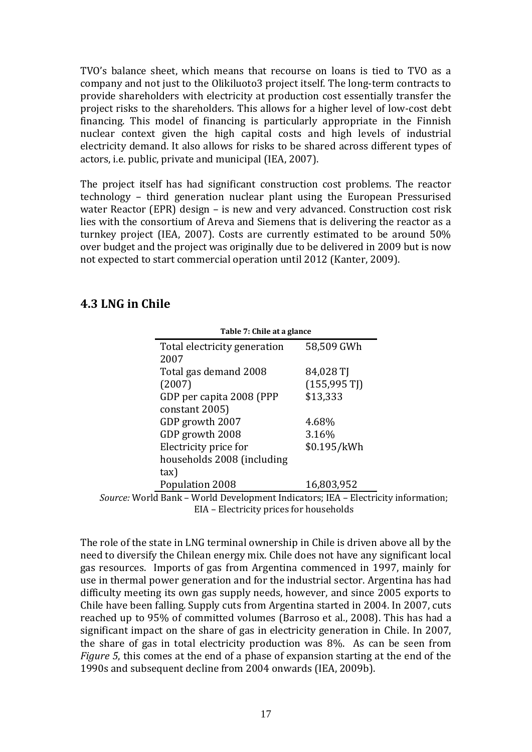TVO's balance sheet, which means that recourse on loans is tied to TVO as a company and not just to the Olikiluoto3 project itself. The long-term contracts to provide shareholders with electricity at production cost essentially transfer the project risks to the shareholders. This allows for a higher level of low-cost debt financing. This model of financing is particularly appropriate in the Finnish nuclear context given the high capital costs and high levels of industrial electricity demand. It also allows for risks to be shared across different types of actors, i.e. public, private and municipal (IEA, 2007).

The project itself has had significant construction cost problems. The reactor technology – third generation nuclear plant using the European Pressurised water Reactor (EPR) design – is new and very advanced. Construction cost risk lies with the consortium of Areva and Siemens that is delivering the reactor as a turnkey project (IEA, 2007). Costs are currently estimated to be around 50% over budget and the project was originally due to be delivered in 2009 but is now not expected to start commercial operation until 2012 (Kanter, 2009).

## **4.3 LNG in Chile**

| Table 7: Chile at a glance   |                        |
|------------------------------|------------------------|
| Total electricity generation | 58,509 GWh             |
| 2007                         |                        |
| Total gas demand 2008        | 84,028 TJ              |
| (2007)                       | $(155,995 \text{ T}])$ |
| GDP per capita 2008 (PPP)    | \$13,333               |
| constant 2005)               |                        |
| GDP growth 2007              | 4.68%                  |
| GDP growth 2008              | 3.16%                  |
| Electricity price for        | \$0.195/kWh            |
| households 2008 (including   |                        |
| tax)                         |                        |
| Population 2008              | 16,803,952             |



The role of the state in LNG terminal ownership in Chile is driven above all by the need to diversify the Chilean energy mix. Chile does not have any significant local gas resources. Imports of gas from Argentina commenced in 1997, mainly for use in thermal power generation and for the industrial sector. Argentina has had difficulty meeting its own gas supply needs, however, and since 2005 exports to Chile have been falling. Supply cuts from Argentina started in 2004. In 2007, cuts reached up to 95% of committed volumes (Barroso et al., 2008). This has had a significant impact on the share of gas in electricity generation in Chile. In 2007, the share of gas in total electricity production was 8%. As can be seen from *Figure 5*, this comes at the end of a phase of expansion starting at the end of the 1990s and subsequent decline from 2004 onwards (IEA, 2009b).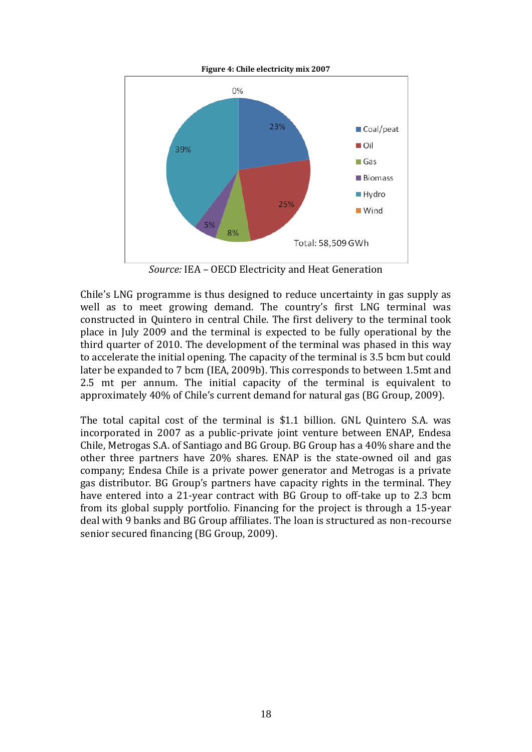

*Source:* IEA – OECD Electricity and Heat Generation

Chile's LNG programme is thus designed to reduce uncertainty in gas supply as well as to meet growing demand. The country's first LNG terminal was constructed in Quintero in central Chile. The first delivery to the terminal took place in July 2009 and the terminal is expected to be fully operational by the third quarter of 2010. The development of the terminal was phased in this way to accelerate the initial opening. The capacity of the terminal is 3.5 bcm but could later be expanded to 7 bcm (IEA, 2009b). This corresponds to between 1.5mt and 2.5 mt per annum. The initial capacity of the terminal is equivalent to approximately 40% of Chile's current demand for natural gas (BG Group, 2009).

The total capital cost of the terminal is \$1.1 billion. GNL Quintero S.A. was incorporated in 2007 as a public-private joint venture between ENAP, Endesa Chile, Metrogas S.A. of Santiago and BG Group. BG Group has a 40% share and the other three partners have 20% shares. ENAP is the state-owned oil and gas company; Endesa Chile is a private power generator and Metrogas is a private gas distributor. BG Group's partners have capacity rights in the terminal. They have entered into a 21-year contract with BG Group to off-take up to 2.3 bcm from its global supply portfolio. Financing for the project is through a 15-year deal with 9 banks and BG Group affiliates. The loan is structured as non-recourse senior secured financing (BG Group, 2009).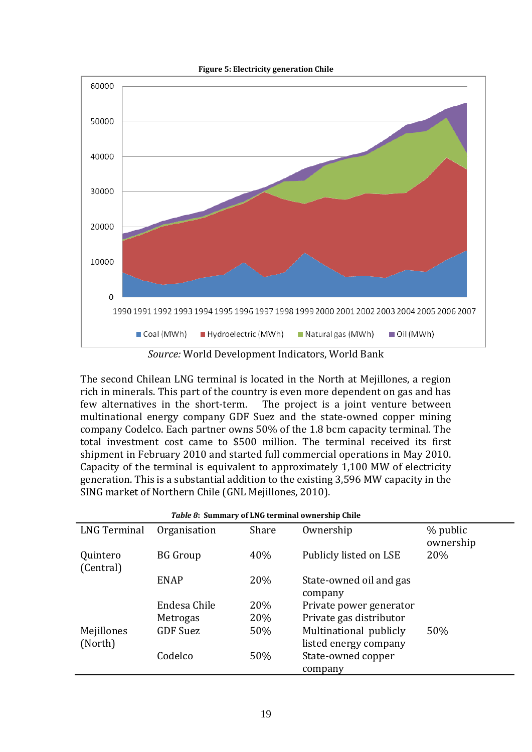



*Source:* World Development Indicators, World Bank

The second Chilean LNG terminal is located in the North at Mejillones, a region rich in minerals. This part of the country is even more dependent on gas and has few alternatives in the short-term. The project is a joint venture between multinational energy company GDF Suez and the state-owned copper mining company Codelco. Each partner owns 50% of the 1.8 bcm capacity terminal. The total investment cost came to \$500 million. The terminal received its first shipment in February 2010 and started full commercial operations in May 2010. Capacity of the terminal is equivalent to approximately 1,100 MW of electricity generation. This is a substantial addition to the existing 3,596 MW capacity in the SING market of Northern Chile (GNL Mejillones, 2010).

| Table 8: Summary of LNG terminal ownership Chile |                 |       |                                    |                       |
|--------------------------------------------------|-----------------|-------|------------------------------------|-----------------------|
| <b>LNG Terminal</b>                              | Organisation    | Share | Ownership                          | % public<br>ownership |
| Quintero<br>(Central)                            | BG Group        | 40%   | Publicly listed on LSE             | 20%                   |
|                                                  | <b>ENAP</b>     | 20%   | State-owned oil and gas<br>company |                       |
|                                                  | Endesa Chile    | 20%   | Private power generator            |                       |
|                                                  | Metrogas        | 20%   | Private gas distributor            |                       |
| Mejillones                                       | <b>GDF Suez</b> | 50%   | Multinational publicly             | 50%                   |
| (North)                                          |                 |       | listed energy company              |                       |
|                                                  | Codelco         | 50%   | State-owned copper                 |                       |
|                                                  |                 |       | company                            |                       |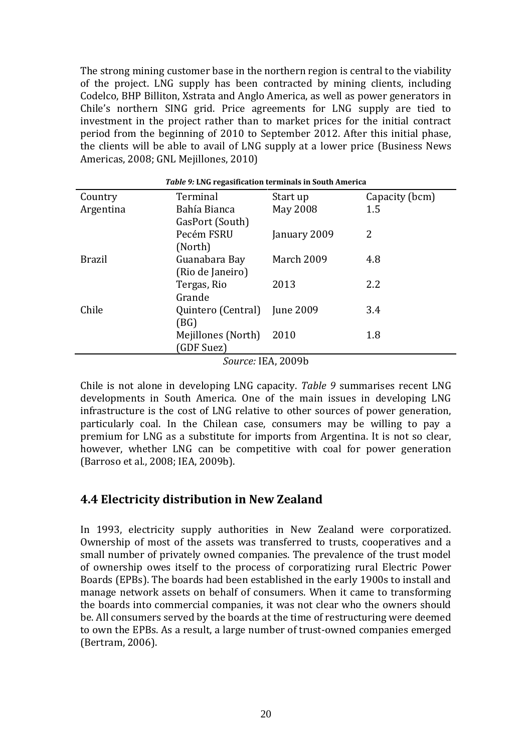The strong mining customer base in the northern region is central to the viability of the project. LNG supply has been contracted by mining clients, including Codelco, BHP Billiton, Xstrata and Anglo America, as well as power generators in Chile's northern SING grid. Price agreements for LNG supply are tied to investment in the project rather than to market prices for the initial contract period from the beginning of 2010 to September 2012. After this initial phase, the clients will be able to avail of LNG supply at a lower price (Business News Americas, 2008; GNL Mejillones, 2010)

| Table 9: LNG regasification terminals in South America |                    |                  |                |  |
|--------------------------------------------------------|--------------------|------------------|----------------|--|
| Country                                                | Terminal           | Start up         | Capacity (bcm) |  |
| Argentina                                              | Bahía Bianca       | May 2008         | 1.5            |  |
|                                                        | GasPort (South)    |                  |                |  |
|                                                        | Pecém FSRU         | January 2009     | 2              |  |
|                                                        | (North)            |                  |                |  |
| <b>Brazil</b>                                          | Guanabara Bay      | March 2009       | 4.8            |  |
|                                                        | (Rio de Janeiro)   |                  |                |  |
|                                                        | Tergas, Rio        | 2013             | 2.2            |  |
|                                                        | Grande             |                  |                |  |
| Chile                                                  | Quintero (Central) | <b>June 2009</b> | 3.4            |  |
|                                                        | (BG)               |                  |                |  |
|                                                        | Mejillones (North) | 2010             | 1.8            |  |
|                                                        | (GDF Suez)         |                  |                |  |
| $S_{OU}$ $rca$ IFA 2009b                               |                    |                  |                |  |

*Source:* IEA, 2009b

Chile is not alone in developing LNG capacity. *Table 9* summarises recent LNG developments in South America. One of the main issues in developing LNG infrastructure is the cost of LNG relative to other sources of power generation, particularly coal. In the Chilean case, consumers may be willing to pay a premium for LNG as a substitute for imports from Argentina. It is not so clear, however, whether LNG can be competitive with coal for power generation (Barroso et al., 2008; IEA, 2009b).

## **4.4 Electricity distribution in New Zealand**

In 1993, electricity supply authorities in New Zealand were corporatized. Ownership of most of the assets was transferred to trusts, cooperatives and a small number of privately owned companies. The prevalence of the trust model of ownership owes itself to the process of corporatizing rural Electric Power Boards (EPBs). The boards had been established in the early 1900s to install and manage network assets on behalf of consumers. When it came to transforming the boards into commercial companies, it was not clear who the owners should be. All consumers served by the boards at the time of restructuring were deemed to own the EPBs. As a result, a large number of trust-owned companies emerged (Bertram, 2006).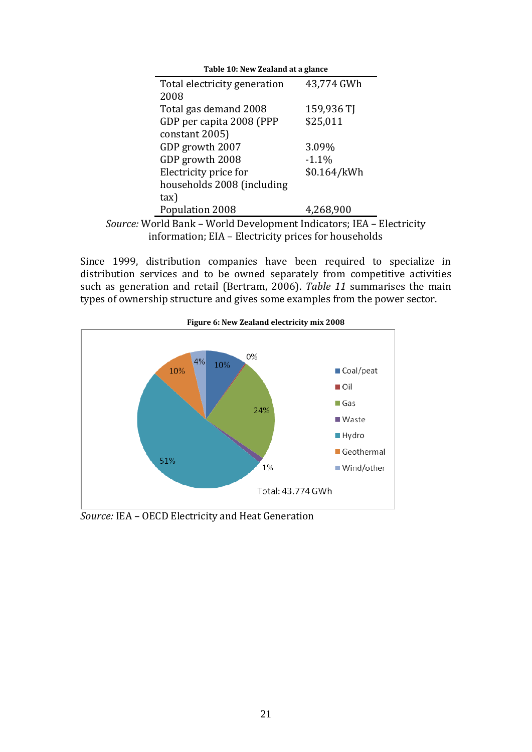| Table 10: New Zealand at a glance                                   |             |
|---------------------------------------------------------------------|-------------|
| Total electricity generation                                        | 43,774 GWh  |
| 2008                                                                |             |
| Total gas demand 2008                                               | 159,936 TJ  |
| GDP per capita 2008 (PPP                                            | \$25,011    |
| constant 2005)                                                      |             |
| GDP growth 2007                                                     | 3.09%       |
| GDP growth 2008                                                     | $-1.1%$     |
| Electricity price for                                               | \$0.164/kWh |
| households 2008 (including                                          |             |
| tax)                                                                |             |
| Population 2008                                                     | 4,268,900   |
| u <i>rce:</i> World Bank – World Development Indicators: IEA – Elec |             |

*Source:* World Bank – World Development Indicators; IEA – Electricity information; EIA – Electricity prices for households

Since 1999, distribution companies have been required to specialize in distribution services and to be owned separately from competitive activities such as generation and retail (Bertram, 2006). *Table 11* summarises the main types of ownership structure and gives some examples from the power sector.



**Figure 6: New Zealand electricity mix 2008**

*Source:* IEA – OECD Electricity and Heat Generation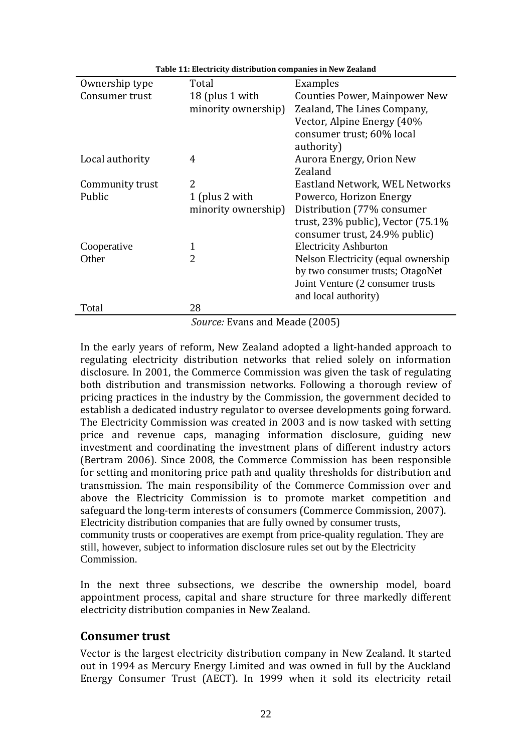| Ownership type  | Total                       | Examples                                |
|-----------------|-----------------------------|-----------------------------------------|
| Consumer trust  | 18 (plus 1 with             | Counties Power, Mainpower New           |
|                 | minority ownership)         | Zealand, The Lines Company,             |
|                 |                             | Vector, Alpine Energy (40%              |
|                 |                             | consumer trust; 60% local               |
|                 |                             | authority)                              |
| Local authority | 4                           | Aurora Energy, Orion New                |
|                 |                             | Zealand                                 |
| Community trust | 2                           | Eastland Network, WEL Networks          |
| Public          | 1 (plus 2 with              | Powerco, Horizon Energy                 |
|                 | minority ownership)         | Distribution (77% consumer              |
|                 |                             | trust, $23\%$ public), Vector $(75.1\%$ |
|                 |                             | consumer trust, 24.9% public)           |
| Cooperative     |                             | <b>Electricity Ashburton</b>            |
| Other           | $\mathcal{D}_{\mathcal{L}}$ | Nelson Electricity (equal ownership     |
|                 |                             | by two consumer trusts; OtagoNet        |
|                 |                             | Joint Venture (2 consumer trusts        |
|                 |                             | and local authority)                    |
| Total           | 28                          |                                         |
|                 | $\sqrt{ }$                  | $1.11 \quad 1.00007$                    |

**Table 11: Electricity distribution companies in New Zealand**

*Source:* Evans and Meade (2005)

In the early years of reform, New Zealand adopted a light-handed approach to regulating electricity distribution networks that relied solely on information disclosure. In 2001, the Commerce Commission was given the task of regulating both distribution and transmission networks. Following a thorough review of pricing practices in the industry by the Commission, the government decided to establish a dedicated industry regulator to oversee developments going forward. The Electricity Commission was created in 2003 and is now tasked with setting price and revenue caps, managing information disclosure, guiding new investment and coordinating the investment plans of different industry actors (Bertram 2006). Since 2008, the Commerce Commission has been responsible for setting and monitoring price path and quality thresholds for distribution and transmission. The main responsibility of the Commerce Commission over and above the Electricity Commission is to promote market competition and safeguard the long-term interests of consumers (Commerce Commission, 2007). Electricity distribution companies that are fully owned by consumer trusts, community trusts or cooperatives are exempt from price-quality regulation. They are still, however, subject to information disclosure rules set out by the Electricity Commission.

In the next three subsections, we describe the ownership model, board appointment process, capital and share structure for three markedly different electricity distribution companies in New Zealand.

#### **Consumer trust**

Vector is the largest electricity distribution company in New Zealand. It started out in 1994 as Mercury Energy Limited and was owned in full by the Auckland Energy Consumer Trust (AECT). In 1999 when it sold its electricity retail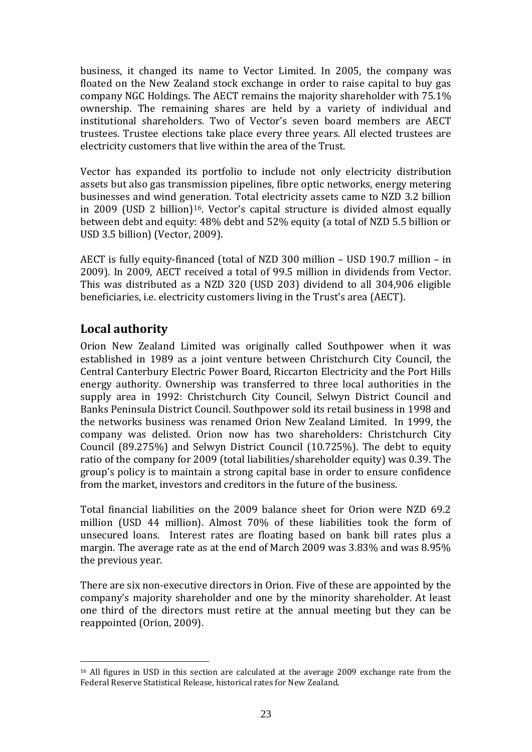business, it changed its name to Vector Limited. In 2005, the company was floated on the New Zealand stock exchange in order to raise capital to buy gas company NGC Holdings. The AECT remains the majority shareholder with 75.1% ownership. The remaining shares are held by a variety of individual and institutional shareholders. Two of Vector's seven board members are AECT trustees. Trustee elections take place every three years. All elected trustees are electricity customers that live within the area of the Trust.

Vector has expanded its portfolio to include not only electricity distribution assets but also gas transmission pipelines, fibre optic networks, energy metering businesses and wind generation. Total electricity assets came to NZD 3.2 billion in 2009 (USD 2 billion)16. Vector's capital structure is divided almost equally between debt and equity: 48% debt and 52% equity (a total of NZD 5.5 billion or USD 3.5 billion) (Vector, 2009).

AECT is fully equity-financed (total of NZD 300 million – USD 190.7 million – in 2009). In 2009, AECT received a total of 99.5 million in dividends from Vector. This was distributed as a NZD 320 (USD 203) dividend to all 304,906 eligible beneficiaries, i.e. electricity customers living in the Trust's area (AECT).

## **Local authority**

1

Orion New Zealand Limited was originally called Southpower when it was established in 1989 as a joint venture between Christchurch City Council, the Central Canterbury Electric Power Board, Riccarton Electricity and the Port Hills energy authority. Ownership was transferred to three local authorities in the supply area in 1992: Christchurch City Council, Selwyn District Council and Banks Peninsula District Council. Southpower sold its retail business in 1998 and the networks business was renamed Orion New Zealand Limited. In 1999, the company was delisted. Orion now has two shareholders: Christchurch City Council (89.275%) and Selwyn District Council (10.725%). The debt to equity ratio of the company for 2009 (total liabilities/shareholder equity) was 0.39. The group's policy is to maintain a strong capital base in order to ensure confidence from the market, investors and creditors in the future of the business.

Total financial liabilities on the 2009 balance sheet for Orion were NZD 69.2 million (USD 44 million). Almost 70% of these liabilities took the form of unsecured loans. Interest rates are floating based on bank bill rates plus a margin. The average rate as at the end of March 2009 was 3.83% and was 8.95% the previous year.

There are six non-executive directors in Orion. Five of these are appointed by the company's majority shareholder and one by the minority shareholder. At least one third of the directors must retire at the annual meeting but they can be reappointed (Orion, 2009).

<sup>&</sup>lt;sup>16</sup> All figures in USD in this section are calculated at the average 2009 exchange rate from the Federal Reserve Statistical Release, historical rates for New Zealand.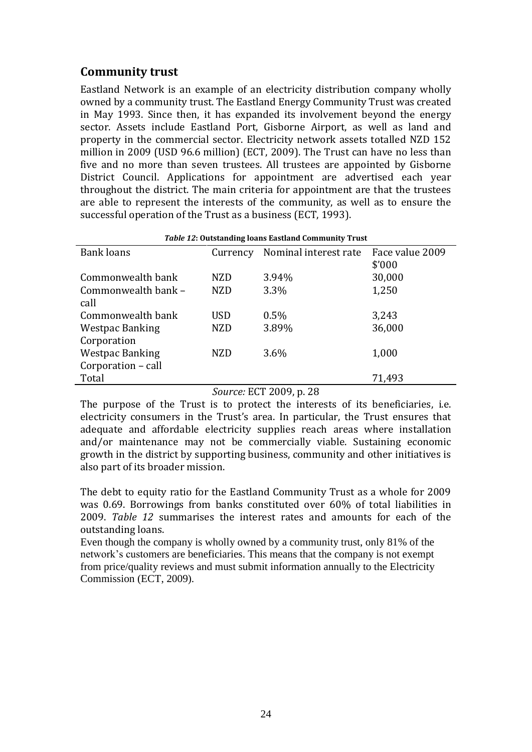## **Community trust**

Eastland Network is an example of an electricity distribution company wholly owned by a community trust. The Eastland Energy Community Trust was created in May 1993. Since then, it has expanded its involvement beyond the energy sector. Assets include Eastland Port, Gisborne Airport, as well as land and property in the commercial sector. Electricity network assets totalled NZD 152 million in 2009 (USD 96.6 million) (ECT, 2009). The Trust can have no less than five and no more than seven trustees. All trustees are appointed by Gisborne District Council. Applications for appointment are advertised each year throughout the district. The main criteria for appointment are that the trustees are able to represent the interests of the community, as well as to ensure the successful operation of the Trust as a business (ECT, 1993).

| Table 12: Outstanding loans Eastland Community Trust |            |                       |                 |  |
|------------------------------------------------------|------------|-----------------------|-----------------|--|
| <b>Bank loans</b>                                    | Currency   | Nominal interest rate | Face value 2009 |  |
|                                                      |            |                       | \$'000          |  |
| Commonwealth bank                                    | <b>NZD</b> | 3.94%                 | 30,000          |  |
| Commonwealth bank -                                  | <b>NZD</b> | 3.3%                  | 1,250           |  |
| call                                                 |            |                       |                 |  |
| Commonwealth bank                                    | <b>USD</b> | 0.5%                  | 3,243           |  |
| <b>Westpac Banking</b>                               | <b>NZD</b> | 3.89%                 | 36,000          |  |
| Corporation                                          |            |                       |                 |  |
| <b>Westpac Banking</b>                               | <b>NZD</b> | 3.6%                  | 1,000           |  |
| Corporation - call                                   |            |                       |                 |  |
| Total                                                |            |                       | 71,493          |  |

## *Source:* ECT 2009, p. 28

The purpose of the Trust is to protect the interests of its beneficiaries, i.e. electricity consumers in the Trust's area. In particular, the Trust ensures that adequate and affordable electricity supplies reach areas where installation and/or maintenance may not be commercially viable. Sustaining economic growth in the district by supporting business, community and other initiatives is also part of its broader mission.

The debt to equity ratio for the Eastland Community Trust as a whole for 2009 was 0.69. Borrowings from banks constituted over 60% of total liabilities in 2009. *Table 12* summarises the interest rates and amounts for each of the outstanding loans.

Even though the company is wholly owned by a community trust, only 81% of the network's customers are beneficiaries. This means that the company is not exempt from price/quality reviews and must submit information annually to the Electricity Commission (ECT, 2009).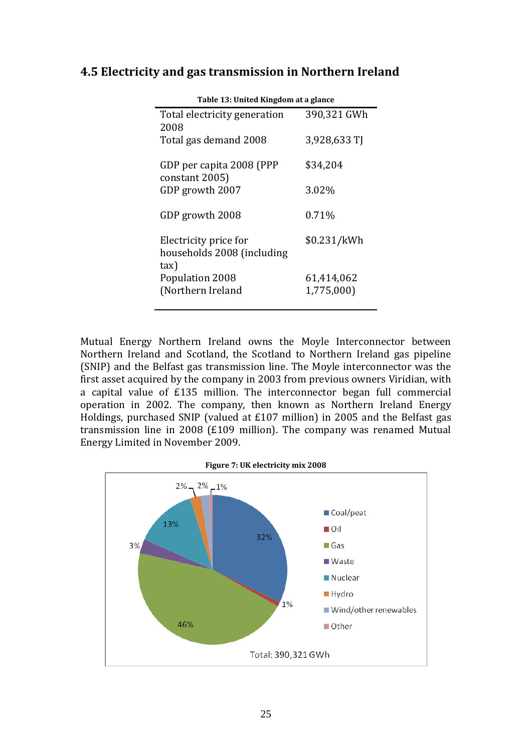## **4.5 Electricity and gas transmission in Northern Ireland**

| Table 13: United Kingdom at a glance       |              |  |  |
|--------------------------------------------|--------------|--|--|
| Total electricity generation               | 390,321 GWh  |  |  |
| 2008                                       |              |  |  |
| Total gas demand 2008                      | 3,928,633 TJ |  |  |
| GDP per capita 2008 (PPP<br>constant 2005) | \$34,204     |  |  |
|                                            |              |  |  |
| GDP growth 2007                            | 3.02%        |  |  |
| GDP growth 2008                            | 0.71%        |  |  |
| Electricity price for                      | \$0.231/kWh  |  |  |
| households 2008 (including                 |              |  |  |
| tax)                                       |              |  |  |
| Population 2008                            | 61,414,062   |  |  |
| (Northern Ireland                          | 1,775,000)   |  |  |
|                                            |              |  |  |

Mutual Energy Northern Ireland owns the Moyle Interconnector between Northern Ireland and Scotland, the Scotland to Northern Ireland gas pipeline (SNIP) and the Belfast gas transmission line. The Moyle interconnector was the first asset acquired by the company in 2003 from previous owners Viridian, with a capital value of £135 million. The interconnector began full commercial operation in 2002. The company, then known as Northern Ireland Energy Holdings, purchased SNIP (valued at £107 million) in 2005 and the Belfast gas transmission line in 2008 (£109 million). The company was renamed Mutual Energy Limited in November 2009.

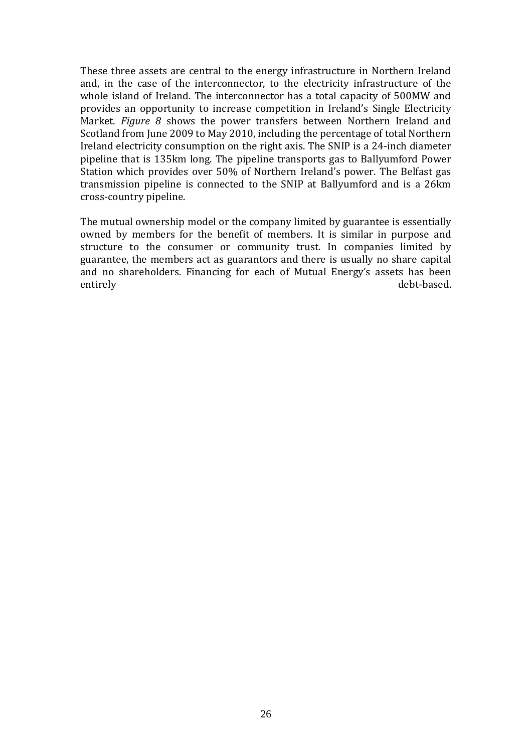These three assets are central to the energy infrastructure in Northern Ireland and, in the case of the interconnector, to the electricity infrastructure of the whole island of Ireland. The interconnector has a total capacity of 500MW and provides an opportunity to increase competition in Ireland's Single Electricity Market. *Figure 8* shows the power transfers between Northern Ireland and Scotland from June 2009 to May 2010, including the percentage of total Northern Ireland electricity consumption on the right axis. The SNIP is a 24-inch diameter pipeline that is 135km long. The pipeline transports gas to Ballyumford Power Station which provides over 50% of Northern Ireland's power. The Belfast gas transmission pipeline is connected to the SNIP at Ballyumford and is a 26km cross-country pipeline.

The mutual ownership model or the company limited by guarantee is essentially owned by members for the benefit of members. It is similar in purpose and structure to the consumer or community trust. In companies limited by guarantee, the members act as guarantors and there is usually no share capital and no shareholders. Financing for each of Mutual Energy's assets has been entirely debt-based.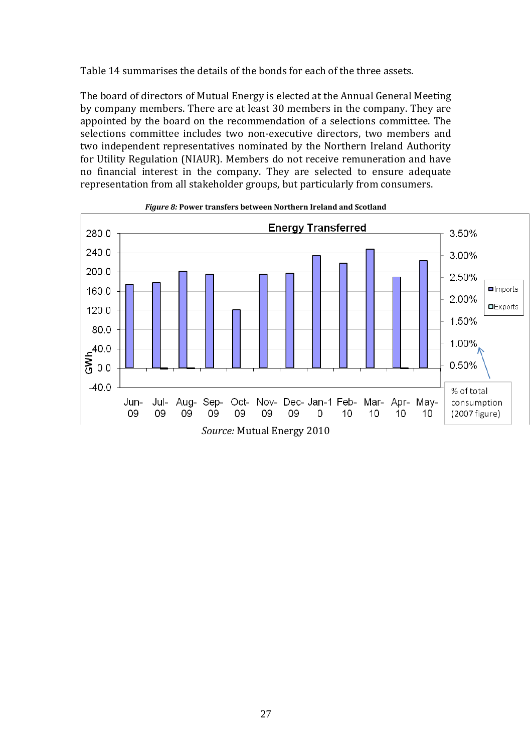Table 14 summarises the details of the bonds for each of the three assets.

The board of directors of Mutual Energy is elected at the Annual General Meeting by company members. There are at least 30 members in the company. They are appointed by the board on the recommendation of a selections committee. The selections committee includes two non-executive directors, two members and two independent representatives nominated by the Northern Ireland Authority for Utility Regulation (NIAUR). Members do not receive remuneration and have no financial interest in the company. They are selected to ensure adequate representation from all stakeholder groups, but particularly from consumers.



#### *Figure 8:* **Power transfers between Northern Ireland and Scotland**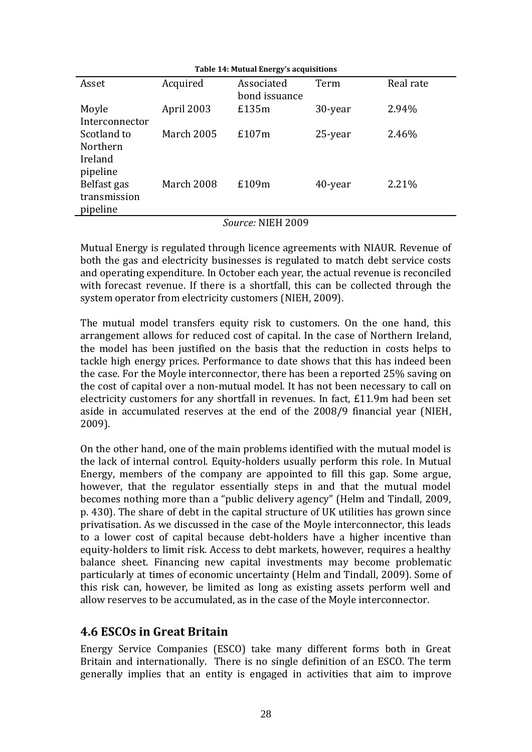| Table 14: Mutual Energy's acquisitions              |                          |                             |         |           |
|-----------------------------------------------------|--------------------------|-----------------------------|---------|-----------|
| Asset                                               | Acquired                 | Associated<br>bond issuance | Term    | Real rate |
| Moyle                                               | April 2003               | £135m                       | 30-year | 2.94%     |
| Interconnector                                      |                          |                             |         |           |
| Scotland to                                         | <b>March 2005</b>        | £107m                       | 25-year | 2.46%     |
| <b>Northern</b>                                     |                          |                             |         |           |
| Ireland                                             |                          |                             |         |           |
|                                                     |                          |                             |         |           |
|                                                     |                          | £109m                       | 40-year | 2.21%     |
|                                                     |                          |                             |         |           |
|                                                     |                          |                             |         |           |
| pipeline<br>Belfast gas<br>transmission<br>pipeline | March 2008<br>$\sqrt{ }$ | $\frac{1}{2}$               |         |           |

#### *Source:* NIEH 2009

Mutual Energy is regulated through licence agreements with NIAUR. Revenue of both the gas and electricity businesses is regulated to match debt service costs and operating expenditure. In October each year, the actual revenue is reconciled with forecast revenue. If there is a shortfall, this can be collected through the system operator from electricity customers (NIEH, 2009).

The mutual model transfers equity risk to customers. On the one hand, this arrangement allows for reduced cost of capital. In the case of Northern Ireland, the model has been justified on the basis that the reduction in costs helps to tackle high energy prices. Performance to date shows that this has indeed been the case. For the Moyle interconnector, there has been a reported 25% saving on the cost of capital over a non-mutual model. It has not been necessary to call on electricity customers for any shortfall in revenues. In fact, £11.9m had been set aside in accumulated reserves at the end of the 2008/9 financial year (NIEH, 2009).

On the other hand, one of the main problems identified with the mutual model is the lack of internal control. Equity-holders usually perform this role. In Mutual Energy, members of the company are appointed to fill this gap. Some argue, however, that the regulator essentially steps in and that the mutual model becomes nothing more than a "public delivery agency" (Helm and Tindall, 2009, p. 430). The share of debt in the capital structure of UK utilities has grown since privatisation. As we discussed in the case of the Moyle interconnector, this leads to a lower cost of capital because debt-holders have a higher incentive than equity-holders to limit risk. Access to debt markets, however, requires a healthy balance sheet. Financing new capital investments may become problematic particularly at times of economic uncertainty (Helm and Tindall, 2009). Some of this risk can, however, be limited as long as existing assets perform well and allow reserves to be accumulated, as in the case of the Moyle interconnector.

### **4.6 ESCOs in Great Britain**

Energy Service Companies (ESCO) take many different forms both in Great Britain and internationally. There is no single definition of an ESCO. The term generally implies that an entity is engaged in activities that aim to improve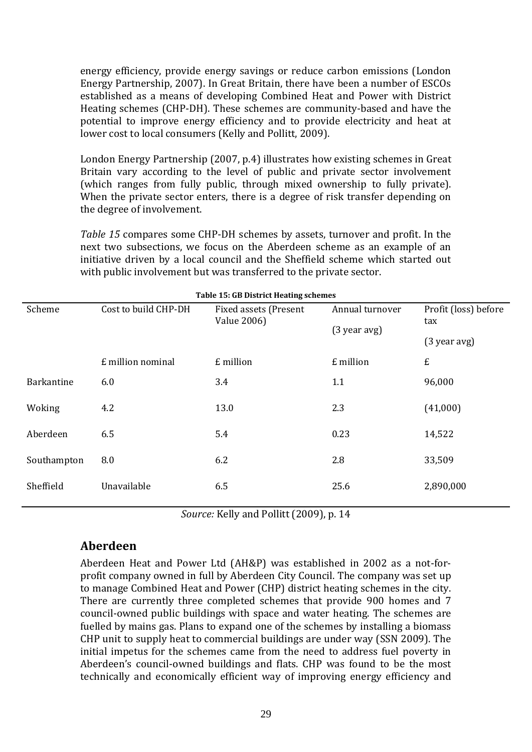energy efficiency, provide energy savings or reduce carbon emissions (London Energy Partnership, 2007). In Great Britain, there have been a number of ESCOs established as a means of developing Combined Heat and Power with District Heating schemes (CHP-DH). These schemes are community-based and have the potential to improve energy efficiency and to provide electricity and heat at lower cost to local consumers (Kelly and Pollitt, 2009).

London Energy Partnership (2007, p.4) illustrates how existing schemes in Great Britain vary according to the level of public and private sector involvement (which ranges from fully public, through mixed ownership to fully private). When the private sector enters, there is a degree of risk transfer depending on the degree of involvement.

*Table 15* compares some CHP-DH schemes by assets, turnover and profit. In the next two subsections, we focus on the Aberdeen scheme as an example of an initiative driven by a local council and the Sheffield scheme which started out with public involvement but was transferred to the private sector.

| Table 15: GB District Heating schemes |                      |                                                                                  |           |                             |
|---------------------------------------|----------------------|----------------------------------------------------------------------------------|-----------|-----------------------------|
| Scheme                                | Cost to build CHP-DH | Annual turnover<br>Fixed assets (Present<br><b>Value 2006)</b><br>$(3$ year avg) |           | Profit (loss) before<br>tax |
|                                       |                      |                                                                                  |           | $(3$ year avg)              |
|                                       | £ million nominal    | £ million                                                                        | £ million | £                           |
| <b>Barkantine</b>                     | 6.0                  | 3.4                                                                              | 1.1       | 96,000                      |
| Woking                                | 4.2                  | 13.0                                                                             | 2.3       | (41,000)                    |
| Aberdeen                              | 6.5                  | 5.4                                                                              | 0.23      | 14,522                      |
| Southampton                           | 8.0                  | 6.2                                                                              | 2.8       | 33,509                      |
| Sheffield                             | Unavailable          | 6.5                                                                              | 25.6      | 2,890,000                   |
|                                       |                      |                                                                                  |           |                             |

**Table 15: GB District Heating schemes**

*Source:* Kelly and Pollitt (2009), p. 14

## **Aberdeen**

Aberdeen Heat and Power Ltd (AH&P) was established in 2002 as a not-forprofit company owned in full by Aberdeen City Council. The company was set up to manage Combined Heat and Power (CHP) district heating schemes in the city. There are currently three completed schemes that provide 900 homes and 7 council-owned public buildings with space and water heating. The schemes are fuelled by mains gas. Plans to expand one of the schemes by installing a biomass CHP unit to supply heat to commercial buildings are under way (SSN 2009). The initial impetus for the schemes came from the need to address fuel poverty in Aberdeen's council-owned buildings and flats. CHP was found to be the most technically and economically efficient way of improving energy efficiency and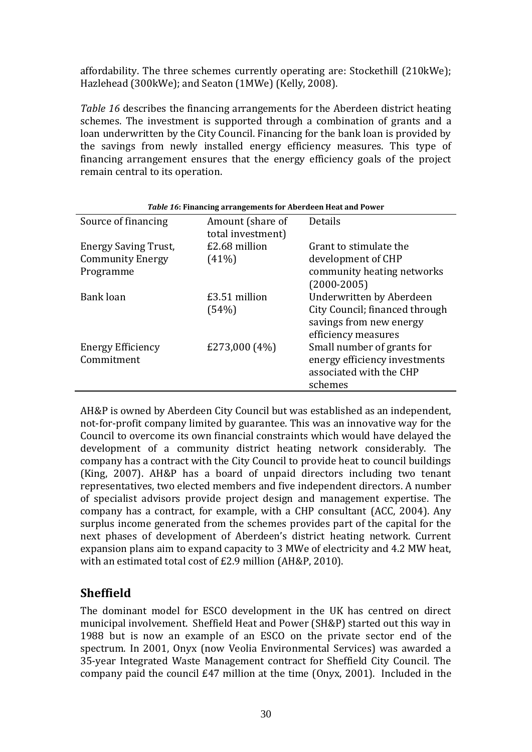affordability. The three schemes currently operating are: Stockethill (210kWe); Hazlehead (300kWe); and Seaton (1MWe) (Kelly, 2008).

*Table 16* describes the financing arrangements for the Aberdeen district heating schemes. The investment is supported through a combination of grants and a loan underwritten by the City Council. Financing for the bank loan is provided by the savings from newly installed energy efficiency measures. This type of financing arrangement ensures that the energy efficiency goals of the project remain central to its operation.

| Table 16: Financing arrangements for Aberdeen Heat and Power |                                       |                                                                                  |  |
|--------------------------------------------------------------|---------------------------------------|----------------------------------------------------------------------------------|--|
| Source of financing                                          | Amount (share of<br>total investment) | Details                                                                          |  |
| Energy Saving Trust,                                         | £2.68 million                         | Grant to stimulate the                                                           |  |
| <b>Community Energy</b>                                      | $(41\%)$                              | development of CHP                                                               |  |
| Programme                                                    |                                       | community heating networks<br>$(2000 - 2005)$                                    |  |
| Bank loan                                                    | £3.51 million                         | Underwritten by Aberdeen                                                         |  |
|                                                              | (54%)                                 | City Council; financed through<br>savings from new energy<br>efficiency measures |  |
| <b>Energy Efficiency</b>                                     | £273,000 $(4%)$                       | Small number of grants for                                                       |  |
| Commitment                                                   |                                       | energy efficiency investments                                                    |  |
|                                                              |                                       | associated with the CHP                                                          |  |
|                                                              |                                       | schemes                                                                          |  |

AH&P is owned by Aberdeen City Council but was established as an independent, not-for-profit company limited by guarantee. This was an innovative way for the Council to overcome its own financial constraints which would have delayed the development of a community district heating network considerably. The company has a contract with the City Council to provide heat to council buildings (King, 2007). AH&P has a board of unpaid directors including two tenant representatives, two elected members and five independent directors. A number of specialist advisors provide project design and management expertise. The company has a contract, for example, with a CHP consultant (ACC, 2004). Any surplus income generated from the schemes provides part of the capital for the next phases of development of Aberdeen's district heating network. Current expansion plans aim to expand capacity to 3 MWe of electricity and 4.2 MW heat, with an estimated total cost of £2.9 million (AH&P, 2010).

## **Sheffield**

The dominant model for ESCO development in the UK has centred on direct municipal involvement. Sheffield Heat and Power (SH&P) started out this way in 1988 but is now an example of an ESCO on the private sector end of the spectrum. In 2001, Onyx (now Veolia Environmental Services) was awarded a 35-year Integrated Waste Management contract for Sheffield City Council. The company paid the council £47 million at the time (Onyx, 2001). Included in the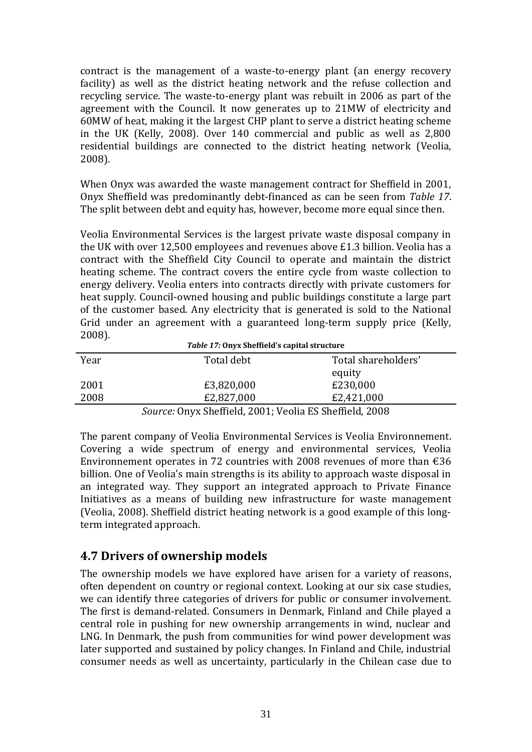contract is the management of a waste-to-energy plant (an energy recovery facility) as well as the district heating network and the refuse collection and recycling service. The waste-to-energy plant was rebuilt in 2006 as part of the agreement with the Council. It now generates up to 21MW of electricity and 60MW of heat, making it the largest CHP plant to serve a district heating scheme in the UK (Kelly, 2008). Over 140 commercial and public as well as 2,800 residential buildings are connected to the district heating network (Veolia, 2008).

When Onyx was awarded the waste management contract for Sheffield in 2001, Onyx Sheffield was predominantly debt-financed as can be seen from *Table 17*. The split between debt and equity has, however, become more equal since then.

Veolia Environmental Services is the largest private waste disposal company in the UK with over 12,500 employees and revenues above £1.3 billion. Veolia has a contract with the Sheffield City Council to operate and maintain the district heating scheme. The contract covers the entire cycle from waste collection to energy delivery. Veolia enters into contracts directly with private customers for heat supply. Council-owned housing and public buildings constitute a large part of the customer based. Any electricity that is generated is sold to the National Grid under an agreement with a guaranteed long-term supply price (Kelly, 2008). *Table 17:* **Onyx Sheffield's capital structure**

| <i>Table 17:</i> Onyx Shemeld's capital structure |        |            |                     |  |
|---------------------------------------------------|--------|------------|---------------------|--|
| Year                                              |        | Total debt | Total shareholders' |  |
|                                                   |        |            | equity              |  |
| 2001                                              |        | £3,820,000 | £230,000            |  |
| 2008                                              |        | £2,827,000 | £2,421,000          |  |
|                                                   | $\sim$ | $\sim$     |                     |  |

*Source:* Onyx Sheffield, 2001; Veolia ES Sheffield, 2008

The parent company of Veolia Environmental Services is Veolia Environnement. Covering a wide spectrum of energy and environmental services, Veolia Environnement operates in 72 countries with 2008 revenues of more than  $\epsilon$ 36 billion. One of Veolia's main strengths is its ability to approach waste disposal in an integrated way. They support an integrated approach to Private Finance Initiatives as a means of building new infrastructure for waste management (Veolia, 2008). Sheffield district heating network is a good example of this longterm integrated approach.

## **4.7 Drivers of ownership models**

The ownership models we have explored have arisen for a variety of reasons, often dependent on country or regional context. Looking at our six case studies, we can identify three categories of drivers for public or consumer involvement. The first is demand-related. Consumers in Denmark, Finland and Chile played a central role in pushing for new ownership arrangements in wind, nuclear and LNG. In Denmark, the push from communities for wind power development was later supported and sustained by policy changes. In Finland and Chile, industrial consumer needs as well as uncertainty, particularly in the Chilean case due to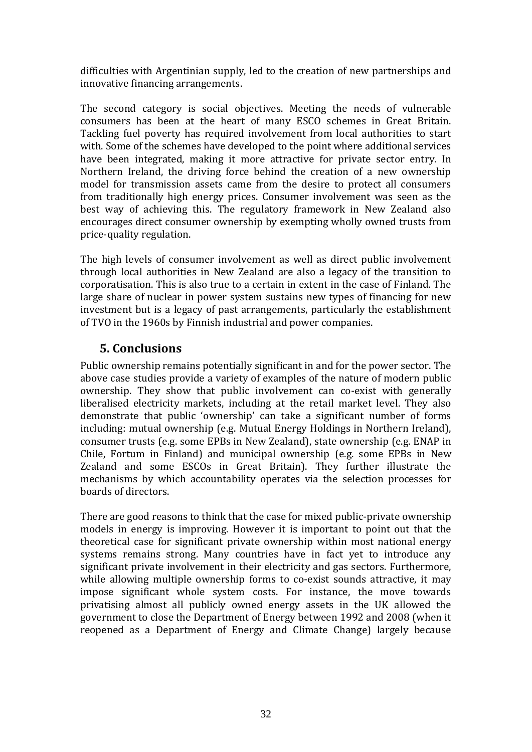difficulties with Argentinian supply, led to the creation of new partnerships and innovative financing arrangements.

The second category is social objectives. Meeting the needs of vulnerable consumers has been at the heart of many ESCO schemes in Great Britain. Tackling fuel poverty has required involvement from local authorities to start with. Some of the schemes have developed to the point where additional services have been integrated, making it more attractive for private sector entry. In Northern Ireland, the driving force behind the creation of a new ownership model for transmission assets came from the desire to protect all consumers from traditionally high energy prices. Consumer involvement was seen as the best way of achieving this. The regulatory framework in New Zealand also encourages direct consumer ownership by exempting wholly owned trusts from price-quality regulation.

The high levels of consumer involvement as well as direct public involvement through local authorities in New Zealand are also a legacy of the transition to corporatisation. This is also true to a certain in extent in the case of Finland. The large share of nuclear in power system sustains new types of financing for new investment but is a legacy of past arrangements, particularly the establishment of TVO in the 1960s by Finnish industrial and power companies.

## **5. Conclusions**

Public ownership remains potentially significant in and for the power sector. The above case studies provide a variety of examples of the nature of modern public ownership. They show that public involvement can co-exist with generally liberalised electricity markets, including at the retail market level. They also demonstrate that public 'ownership' can take a significant number of forms including: mutual ownership (e.g. Mutual Energy Holdings in Northern Ireland), consumer trusts (e.g. some EPBs in New Zealand), state ownership (e.g. ENAP in Chile, Fortum in Finland) and municipal ownership (e.g. some EPBs in New Zealand and some ESCOs in Great Britain). They further illustrate the mechanisms by which accountability operates via the selection processes for boards of directors.

There are good reasons to think that the case for mixed public-private ownership models in energy is improving. However it is important to point out that the theoretical case for significant private ownership within most national energy systems remains strong. Many countries have in fact yet to introduce any significant private involvement in their electricity and gas sectors. Furthermore, while allowing multiple ownership forms to co-exist sounds attractive, it may impose significant whole system costs. For instance, the move towards privatising almost all publicly owned energy assets in the UK allowed the government to close the Department of Energy between 1992 and 2008 (when it reopened as a Department of Energy and Climate Change) largely because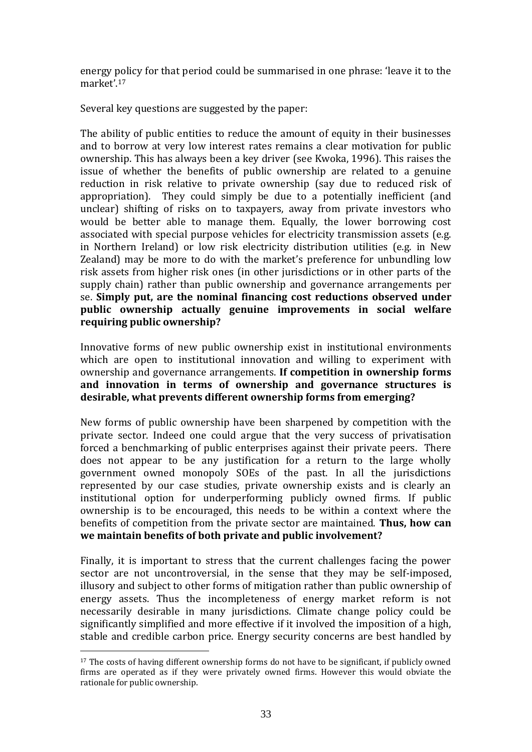energy policy for that period could be summarised in one phrase: 'leave it to the market'.<sup>17</sup>

Several key questions are suggested by the paper:

The ability of public entities to reduce the amount of equity in their businesses and to borrow at very low interest rates remains a clear motivation for public ownership. This has always been a key driver (see Kwoka, 1996). This raises the issue of whether the benefits of public ownership are related to a genuine reduction in risk relative to private ownership (say due to reduced risk of appropriation). They could simply be due to a potentially inefficient (and unclear) shifting of risks on to taxpayers, away from private investors who would be better able to manage them. Equally, the lower borrowing cost associated with special purpose vehicles for electricity transmission assets (e.g. in Northern Ireland) or low risk electricity distribution utilities (e.g. in New Zealand) may be more to do with the market's preference for unbundling low risk assets from higher risk ones (in other jurisdictions or in other parts of the supply chain) rather than public ownership and governance arrangements per se. **Simply put, are the nominal financing cost reductions observed under public ownership actually genuine improvements in social welfare requiring public ownership?**

Innovative forms of new public ownership exist in institutional environments which are open to institutional innovation and willing to experiment with ownership and governance arrangements. **If competition in ownership forms and innovation in terms of ownership and governance structures is desirable, what prevents different ownership forms from emerging?**

New forms of public ownership have been sharpened by competition with the private sector. Indeed one could argue that the very success of privatisation forced a benchmarking of public enterprises against their private peers. There does not appear to be any justification for a return to the large wholly government owned monopoly SOEs of the past. In all the jurisdictions represented by our case studies, private ownership exists and is clearly an institutional option for underperforming publicly owned firms. If public ownership is to be encouraged, this needs to be within a context where the benefits of competition from the private sector are maintained. **Thus, how can we maintain benefits of both private and public involvement?**

Finally, it is important to stress that the current challenges facing the power sector are not uncontroversial, in the sense that they may be self-imposed, illusory and subject to other forms of mitigation rather than public ownership of energy assets. Thus the incompleteness of energy market reform is not necessarily desirable in many jurisdictions. Climate change policy could be significantly simplified and more effective if it involved the imposition of a high, stable and credible carbon price. Energy security concerns are best handled by

<sup>17</sup> The costs of having different ownership forms do not have to be significant, if publicly owned firms are operated as if they were privately owned firms. However this would obviate the rationale for public ownership.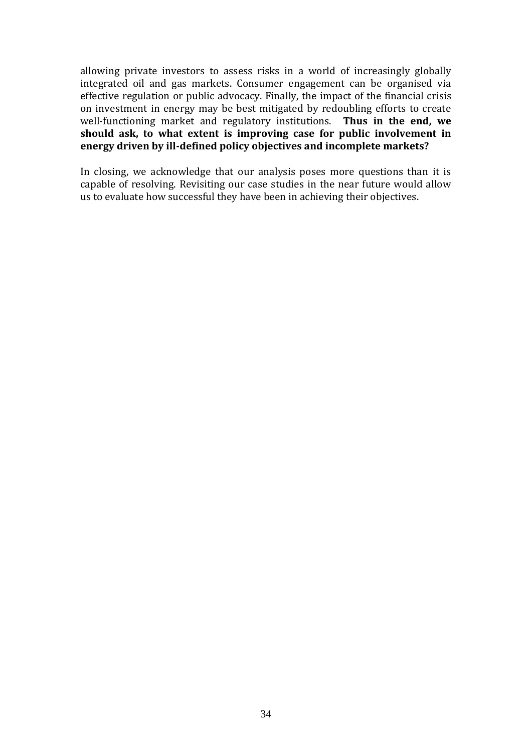allowing private investors to assess risks in a world of increasingly globally integrated oil and gas markets. Consumer engagement can be organised via effective regulation or public advocacy. Finally, the impact of the financial crisis on investment in energy may be best mitigated by redoubling efforts to create well-functioning market and regulatory institutions. **Thus in the end, we should ask, to what extent is improving case for public involvement in energy driven by ill-defined policy objectives and incomplete markets?**

In closing, we acknowledge that our analysis poses more questions than it is capable of resolving. Revisiting our case studies in the near future would allow us to evaluate how successful they have been in achieving their objectives.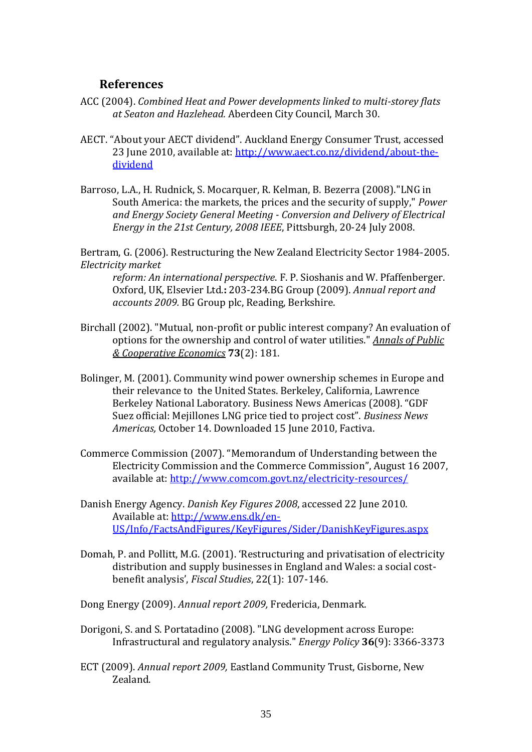### **References**

- ACC (2004). *Combined Heat and Power developments linked to multi-storey flats at Seaton and Hazlehead.* Aberdeen City Council, March 30.
- AECT. "About your AECT dividend". Auckland Energy Consumer Trust, accessed 23 June 2010, available at: [http://www.aect.co.nz/dividend/about-the](http://www.aect.co.nz/dividend/about-the-dividend)[dividend](http://www.aect.co.nz/dividend/about-the-dividend)
- Barroso, L.A., H. Rudnick, S. Mocarquer, R. Kelman, B. Bezerra (2008)."LNG in South America: the markets, the prices and the security of supply," *Power and Energy Society General Meeting - Conversion and Delivery of Electrical Energy in the 21st Century, 2008 IEEE*, Pittsburgh, 20-24 July 2008.

Bertram, G. (2006). Restructuring the New Zealand Electricity Sector 1984-2005. *Electricity market* 

*reform: An international perspective*. F. P. Sioshanis and W. Pfaffenberger. Oxford, UK, Elsevier Ltd.**:** 203-234.BG Group (2009). *Annual report and accounts 2009.* BG Group plc, Reading, Berkshire.

- Birchall (2002). "Mutual, non-profit or public interest company? An evaluation of options for the ownership and control of water utilities." *Annals of Public & Cooperative Economics* **73**(2): 181.
- Bolinger, M. (2001). Community wind power ownership schemes in Europe and their relevance to the United States. Berkeley, California, Lawrence Berkeley National Laboratory. Business News Americas (2008). "GDF Suez official: Mejillones LNG price tied to project cost". *Business News Americas,* October 14. Downloaded 15 June 2010, Factiva.
- Commerce Commission (2007). "Memorandum of Understanding between the Electricity Commission and the Commerce Commission", August 16 2007, available at:<http://www.comcom.govt.nz/electricity-resources/>
- Danish Energy Agency. *Danish Key Figures 2008*, accessed 22 June 2010. Available at: [http://www.ens.dk/en-](http://www.ens.dk/en-US/Info/FactsAndFigures/KeyFigures/Sider/DanishKeyFigures.aspx)[US/Info/FactsAndFigures/KeyFigures/Sider/DanishKeyFigures.aspx](http://www.ens.dk/en-US/Info/FactsAndFigures/KeyFigures/Sider/DanishKeyFigures.aspx)
- Domah, P. and Pollitt, M.G. (2001). 'Restructuring and privatisation of electricity distribution and supply businesses in England and Wales: a social costbenefit analysis', *Fiscal Studies*, 22(1): 107-146.

Dong Energy (2009). *Annual report 2009,* Fredericia, Denmark.

- Dorigoni, S. and S. Portatadino (2008). "LNG development across Europe: Infrastructural and regulatory analysis." *Energy Policy* **36**(9): 3366-3373
- ECT (2009). *Annual report 2009,* Eastland Community Trust, Gisborne, New Zealand.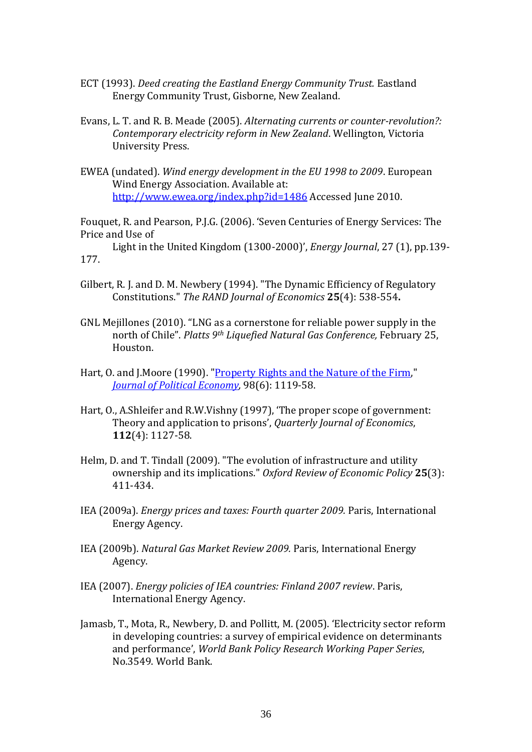- ECT (1993). *Deed creating the Eastland Energy Community Trust.* Eastland Energy Community Trust, Gisborne, New Zealand.
- Evans, L. T. and R. B. Meade (2005). *Alternating currents or counter-revolution?: Contemporary electricity reform in New Zealand*. Wellington, Victoria University Press.
- EWEA (undated). *Wind energy development in the EU 1998 to 2009*. European Wind Energy Association. Available at: <http://www.ewea.org/index.php?id=1486> Accessed June 2010.

Fouquet, R. and Pearson, P.J.G. (2006). 'Seven Centuries of Energy Services: The Price and Use of

Light in the United Kingdom (1300-2000)', *Energy Journal*, 27 (1), pp.139- 177.

- Gilbert, R. J. and D. M. Newbery (1994). "The Dynamic Efficiency of Regulatory Constitutions." *The RAND Journal of Economics* **25**(4): 538-554**.**
- GNL Mejillones (2010). "LNG as a cornerstone for reliable power supply in the north of Chile". *Platts 9th Liquefied Natural Gas Conference,* February 25, Houston.
- Hart, O. and J.Moore (1990). ["Property Rights and the Nature of the Firm,](http://ideas.repec.org/a/ucp/jpolec/v98y1990i6p1119-58.html)" *[Journal of Political Economy,](http://ideas.repec.org/s/ucp/jpolec.html)* 98(6): 1119-58.
- Hart, O., A.Shleifer and R.W.Vishny (1997), 'The proper scope of government: Theory and application to prisons', *Quarterly Journal of Economics*, **112**(4): 1127-58.
- Helm, D. and T. Tindall (2009). "The evolution of infrastructure and utility ownership and its implications." *Oxford Review of Economic Policy* **25**(3): 411-434.
- IEA (2009a). *Energy prices and taxes: Fourth quarter 2009.* Paris, International Energy Agency.
- IEA (2009b). *Natural Gas Market Review 2009.* Paris, International Energy Agency.
- IEA (2007). *Energy policies of IEA countries: Finland 2007 review*. Paris, International Energy Agency.
- Jamasb, T., Mota, R., Newbery, D. and Pollitt, M. (2005). 'Electricity sector reform in developing countries: a survey of empirical evidence on determinants and performance', *World Bank Policy Research Working Paper Series*, No.3549. World Bank.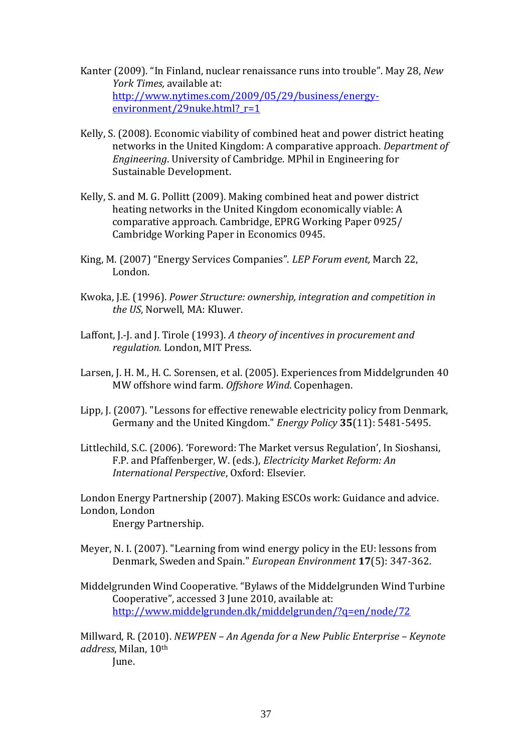- Kanter (2009). "In Finland, nuclear renaissance runs into trouble". May 28, *New York Times,* available at: [http://www.nytimes.com/2009/05/29/business/energy](http://www.nytimes.com/2009/05/29/business/energy-environment/29nuke.html?_r=1)environment/29nuke.html? r=1
- Kelly, S. (2008). Economic viability of combined heat and power district heating networks in the United Kingdom: A comparative approach. *Department of Engineering*. University of Cambridge. MPhil in Engineering for Sustainable Development.
- Kelly, S. and M. G. Pollitt (2009). Making combined heat and power district heating networks in the United Kingdom economically viable: A comparative approach. Cambridge, EPRG Working Paper 0925/ Cambridge Working Paper in Economics 0945.
- King, M. (2007) "Energy Services Companies". *LEP Forum event,* March 22, London.
- Kwoka, J.E. (1996). *Power Structure: ownership, integration and competition in the US*, Norwell, MA: Kluwer.
- Laffont, J.-J. and J. Tirole (1993). *A theory of incentives in procurement and regulation.* London, MIT Press.
- Larsen, J. H. M., H. C. Sorensen, et al. (2005). Experiences from Middelgrunden 40 MW offshore wind farm. *Offshore Wind*. Copenhagen.
- Lipp, J. (2007). "Lessons for effective renewable electricity policy from Denmark, Germany and the United Kingdom." *Energy Policy* **35**(11): 5481-5495.
- Littlechild, S.C. (2006). 'Foreword: The Market versus Regulation', In Sioshansi, F.P. and Pfaffenberger, W. (eds.), *Electricity Market Reform: An International Perspective*, Oxford: Elsevier.

London Energy Partnership (2007). Making ESCOs work: Guidance and advice. London, London

Energy Partnership.

- Meyer, N. I. (2007). "Learning from wind energy policy in the EU: lessons from Denmark, Sweden and Spain." *European Environment* **17**(5): 347-362.
- Middelgrunden Wind Cooperative. "Bylaws of the Middelgrunden Wind Turbine Cooperative", accessed 3 June 2010, available at: <http://www.middelgrunden.dk/middelgrunden/?q=en/node/72>

Millward, R. (2010). *NEWPEN – An Agenda for a New Public Enterprise – Keynote address*, Milan, 10th June.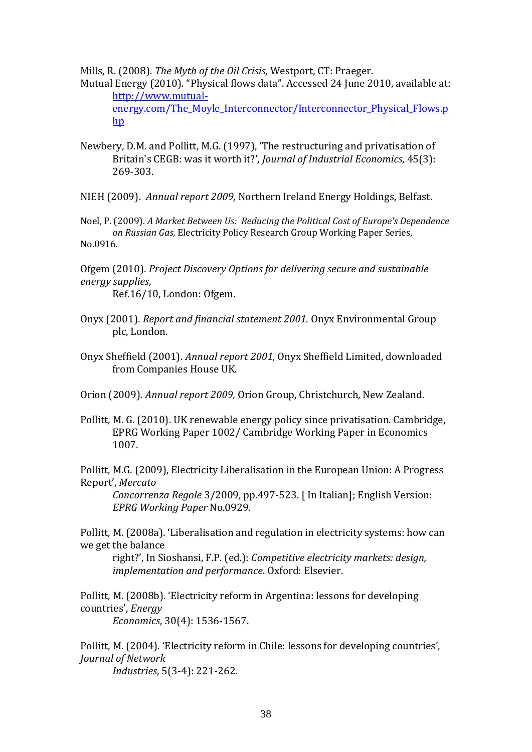Mills, R. (2008). *The Myth of the Oil Crisis*, Westport, CT: Praeger.

Mutual Energy (2010). "Physical flows data". Accessed 24 June 2010, available at: [http://www.mutual](http://www.mutual-energy.com/The_Moyle_Interconnector/Interconnector_Physical_Flows.php)energy.com/The Moyle Interconnector/Interconnector Physical Flows.p [hp](http://www.mutual-energy.com/The_Moyle_Interconnector/Interconnector_Physical_Flows.php)

- Newbery, D.M. and Pollitt, M.G. (1997), 'The restructuring and privatisation of Britain's CEGB: was it worth it?', *Journal of Industrial Economics*, 45(3): 269-303.
- NIEH (2009). *Annual report 2009,* Northern Ireland Energy Holdings, Belfast.

Noel, P. (2009). *A Market Between Us: Reducing the Political Cost of Europe's Dependence on Russian Gas*, Electricity Policy Research Group Working Paper Series, No.0916.

Ofgem (2010). *Project Discovery Options for delivering secure and sustainable energy supplies*,

Ref.16/10, London: Ofgem.

- Onyx (2001). *Report and financial statement 2001.* Onyx Environmental Group plc, London.
- Onyx Sheffield (2001). *Annual report 2001,* Onyx Sheffield Limited, downloaded from Companies House UK.

Orion (2009). *Annual report 2009,* Orion Group, Christchurch, New Zealand.

Pollitt, M. G. (2010). UK renewable energy policy since privatisation. Cambridge, EPRG Working Paper 1002/ Cambridge Working Paper in Economics 1007.

Pollitt, M.G. (2009), Electricity Liberalisation in the European Union: A Progress Report', *Mercato* 

*Concorrenza Regole* 3/2009, pp.497-523. [ In Italian]; English Version: *EPRG Working Paper* No.0929.

Pollitt, M. (2008a). 'Liberalisation and regulation in electricity systems: how can we get the balance

right?', In Sioshansi, F.P. (ed.): *Competitive electricity markets: design, implementation and performance*. Oxford: Elsevier.

Pollitt, M. (2008b). 'Electricity reform in Argentina: lessons for developing countries', *Energy Economics*, 30(4): 1536-1567.

Pollitt, M. (2004). 'Electricity reform in Chile: lessons for developing countries', *Journal of Network* 

*Industries*, 5(3-4): 221-262.